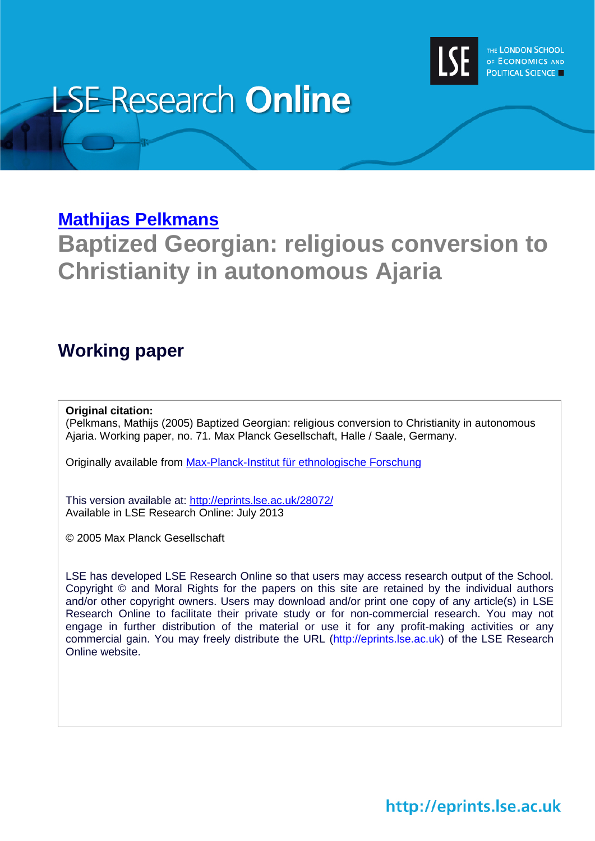

# **LSE Research Online**

### **[Mathijas Pelkmans](http://www.lse.ac.uk/researchAndExpertise/Experts/profile.aspx?KeyValue=m.e.pelkmans@lse.ac.uk)**

## **Baptized Georgian: religious conversion to Christianity in autonomous Ajaria**

### **Working paper**

#### **Original citation:**

(Pelkmans, Mathijs (2005) Baptized Georgian: religious conversion to Christianity in autonomous Ajaria. Working paper, no. 71. Max Planck Gesellschaft, Halle / Saale, Germany.

Originally available from [Max-Planck-Institut für ethnologische Forschung](http://www.eth.mpg.de/cms/de/index.html)

This version available at:<http://eprints.lse.ac.uk/28072/> Available in LSE Research Online: July 2013

© 2005 Max Planck Gesellschaft

LSE has developed LSE Research Online so that users may access research output of the School. Copyright © and Moral Rights for the papers on this site are retained by the individual authors and/or other copyright owners. Users may download and/or print one copy of any article(s) in LSE Research Online to facilitate their private study or for non-commercial research. You may not engage in further distribution of the material or use it for any profit-making activities or any commercial gain. You may freely distribute the URL (http://eprints.lse.ac.uk) of the LSE Research Online website.

http://eprints.lse.ac.uk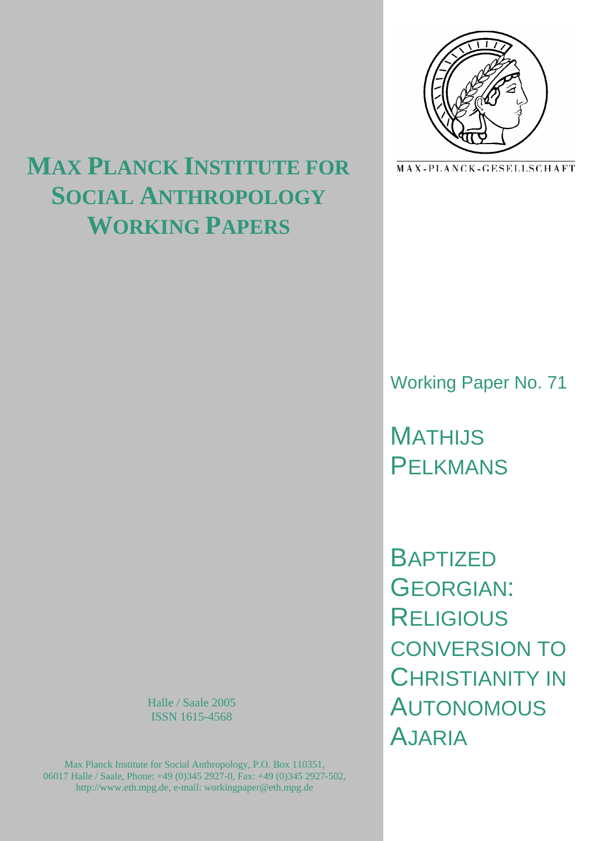

MAX-PLANCK-GESELLSCHAFT

# **MAX PLANCK INSTITUTE FOR SOCIAL ANTHROPOLOGY WORKING PAPERS**

Working Paper No. 71

**MATHIJS** PELKMANS

BAPTIZED GEORGIAN: RELIGIOUS CONVERSION TO CHRISTIANITY IN AUTONOMOUS AJARIA

Halle / Saale 2005 ISSN 1615-4568

Max Planck Institute for Social Anthropology, P.O. Box 110351, 06017 Halle / Saale, Phone: +49 (0)345 2927-0, Fax: +49 (0)345 2927-502, http://www.eth.mpg.de, e-mail: workingpaper@eth.mpg.de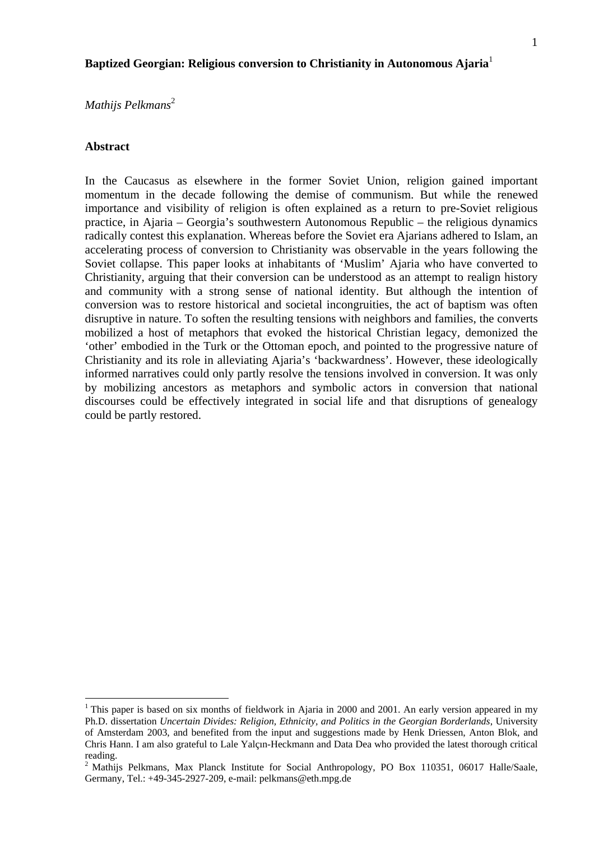#### **Baptized Georgian: Religious conversion to Christianity in Autonomous Ajaria**<sup>1</sup>

*Mathijs Pelkmans*<sup>2</sup>

#### **Abstract**

 $\overline{a}$ 

In the Caucasus as elsewhere in the former Soviet Union, religion gained important momentum in the decade following the demise of communism. But while the renewed importance and visibility of religion is often explained as a return to pre-Soviet religious practice, in Ajaria – Georgia's southwestern Autonomous Republic – the religious dynamics radically contest this explanation. Whereas before the Soviet era Ajarians adhered to Islam, an accelerating process of conversion to Christianity was observable in the years following the Soviet collapse. This paper looks at inhabitants of 'Muslim' Ajaria who have converted to Christianity, arguing that their conversion can be understood as an attempt to realign history and community with a strong sense of national identity. But although the intention of conversion was to restore historical and societal incongruities, the act of baptism was often disruptive in nature. To soften the resulting tensions with neighbors and families, the converts mobilized a host of metaphors that evoked the historical Christian legacy, demonized the 'other' embodied in the Turk or the Ottoman epoch, and pointed to the progressive nature of Christianity and its role in alleviating Ajaria's 'backwardness'. However, these ideologically informed narratives could only partly resolve the tensions involved in conversion. It was only by mobilizing ancestors as metaphors and symbolic actors in conversion that national discourses could be effectively integrated in social life and that disruptions of genealogy could be partly restored.

<sup>&</sup>lt;sup>1</sup> This paper is based on six months of fieldwork in Ajaria in 2000 and 2001. An early version appeared in my Ph.D. dissertation *Uncertain Divides: Religion, Ethnicity, and Politics in the Georgian Borderlands*, University of Amsterdam 2003, and benefited from the input and suggestions made by Henk Driessen, Anton Blok, and Chris Hann. I am also grateful to Lale Yalçın-Heckmann and Data Dea who provided the latest thorough critical reading.

<sup>&</sup>lt;sup>2</sup> Mathijs Pelkmans, Max Planck Institute for Social Anthropology, PO Box 110351, 06017 Halle/Saale, Germany, Tel.: +49-345-2927-209, e-mail: pelkmans@eth.mpg.de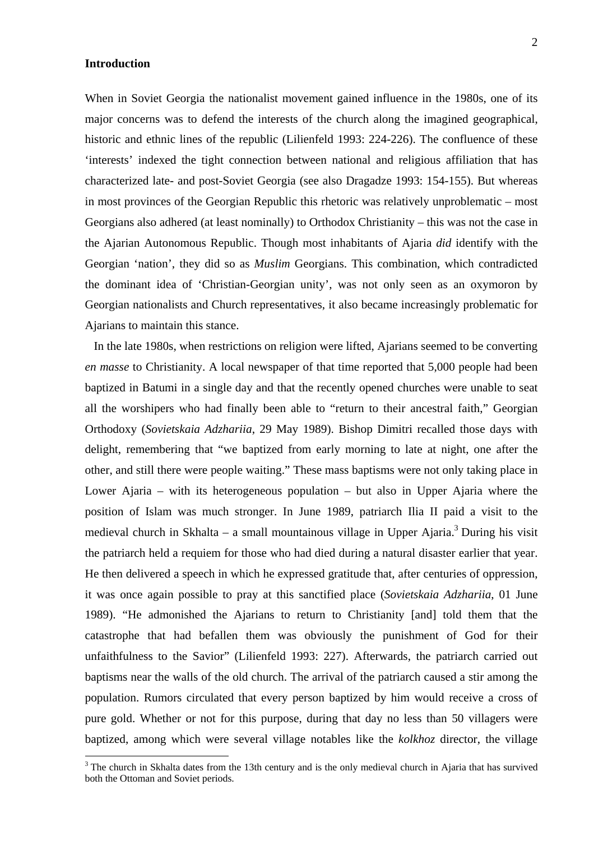#### **Introduction**

 $\overline{a}$ 

When in Soviet Georgia the nationalist movement gained influence in the 1980s, one of its major concerns was to defend the interests of the church along the imagined geographical, historic and ethnic lines of the republic (Lilienfeld 1993: 224-226). The confluence of these 'interests' indexed the tight connection between national and religious affiliation that has characterized late- and post-Soviet Georgia (see also Dragadze 1993: 154-155). But whereas in most provinces of the Georgian Republic this rhetoric was relatively unproblematic – most Georgians also adhered (at least nominally) to Orthodox Christianity – this was not the case in the Ajarian Autonomous Republic. Though most inhabitants of Ajaria *did* identify with the Georgian 'nation', they did so as *Muslim* Georgians. This combination, which contradicted the dominant idea of 'Christian-Georgian unity', was not only seen as an oxymoron by Georgian nationalists and Church representatives, it also became increasingly problematic for Ajarians to maintain this stance.

 In the late 1980s, when restrictions on religion were lifted, Ajarians seemed to be converting *en masse* to Christianity. A local newspaper of that time reported that 5,000 people had been baptized in Batumi in a single day and that the recently opened churches were unable to seat all the worshipers who had finally been able to "return to their ancestral faith," Georgian Orthodoxy (*Sovietskaia Adzhariia*, 29 May 1989). Bishop Dimitri recalled those days with delight, remembering that "we baptized from early morning to late at night, one after the other, and still there were people waiting." These mass baptisms were not only taking place in Lower Ajaria – with its heterogeneous population – but also in Upper Ajaria where the position of Islam was much stronger. In June 1989, patriarch Ilia II paid a visit to the medieval church in Skhalta – a small mountainous village in Upper Ajaria.<sup>3</sup> During his visit the patriarch held a requiem for those who had died during a natural disaster earlier that year. He then delivered a speech in which he expressed gratitude that, after centuries of oppression, it was once again possible to pray at this sanctified place (*Sovietskaia Adzhariia*, 01 June 1989). "He admonished the Ajarians to return to Christianity [and] told them that the catastrophe that had befallen them was obviously the punishment of God for their unfaithfulness to the Savior" (Lilienfeld 1993: 227). Afterwards, the patriarch carried out baptisms near the walls of the old church. The arrival of the patriarch caused a stir among the population. Rumors circulated that every person baptized by him would receive a cross of pure gold. Whether or not for this purpose, during that day no less than 50 villagers were baptized, among which were several village notables like the *kolkhoz* director, the village

 $3$  The church in Skhalta dates from the 13th century and is the only medieval church in Ajaria that has survived both the Ottoman and Soviet periods.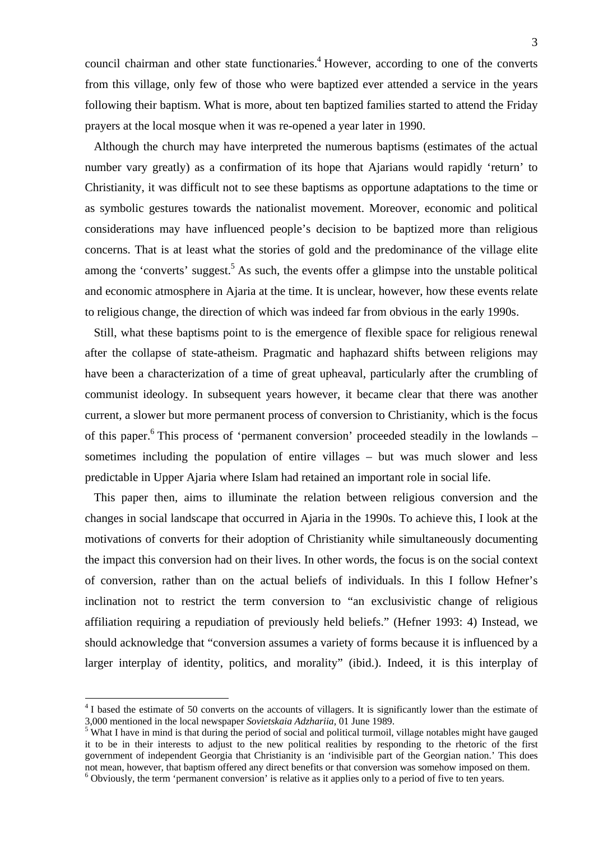council chairman and other state functionaries.<sup>4</sup> However, according to one of the converts from this village, only few of those who were baptized ever attended a service in the years following their baptism. What is more, about ten baptized families started to attend the Friday prayers at the local mosque when it was re-opened a year later in 1990.

 Although the church may have interpreted the numerous baptisms (estimates of the actual number vary greatly) as a confirmation of its hope that Ajarians would rapidly 'return' to Christianity, it was difficult not to see these baptisms as opportune adaptations to the time or as symbolic gestures towards the nationalist movement. Moreover, economic and political considerations may have influenced people's decision to be baptized more than religious concerns. That is at least what the stories of gold and the predominance of the village elite among the 'converts' suggest.<sup>5</sup> As such, the events offer a glimpse into the unstable political and economic atmosphere in Ajaria at the time. It is unclear, however, how these events relate to religious change, the direction of which was indeed far from obvious in the early 1990s.

 Still, what these baptisms point to is the emergence of flexible space for religious renewal after the collapse of state-atheism. Pragmatic and haphazard shifts between religions may have been a characterization of a time of great upheaval, particularly after the crumbling of communist ideology. In subsequent years however, it became clear that there was another current, a slower but more permanent process of conversion to Christianity, which is the focus of this paper.<sup>6</sup> This process of 'permanent conversion' proceeded steadily in the lowlands – sometimes including the population of entire villages – but was much slower and less predictable in Upper Ajaria where Islam had retained an important role in social life.

 This paper then, aims to illuminate the relation between religious conversion and the changes in social landscape that occurred in Ajaria in the 1990s. To achieve this, I look at the motivations of converts for their adoption of Christianity while simultaneously documenting the impact this conversion had on their lives. In other words, the focus is on the social context of conversion, rather than on the actual beliefs of individuals. In this I follow Hefner's inclination not to restrict the term conversion to "an exclusivistic change of religious affiliation requiring a repudiation of previously held beliefs." (Hefner 1993: 4) Instead, we should acknowledge that "conversion assumes a variety of forms because it is influenced by a larger interplay of identity, politics, and morality" (ibid.). Indeed, it is this interplay of

 $4$ I based the estimate of 50 converts on the accounts of villagers. It is significantly lower than the estimate of 3,000 mentioned in the local newspaper *Sovietskaia Adzhariia*, 01 June 1989.<br><sup>5</sup> What I have in mind is that during the period of social and political turmoil, village notables might have gauged

it to be in their interests to adjust to the new political realities by responding to the rhetoric of the first government of independent Georgia that Christianity is an 'indivisible part of the Georgian nation.' This does not mean, however, that baptism offered any direct benefits or that conversion was somehow imposed on them.

<sup>&</sup>lt;sup>6</sup> Obviously, the term 'permanent conversion' is relative as it applies only to a period of five to ten years.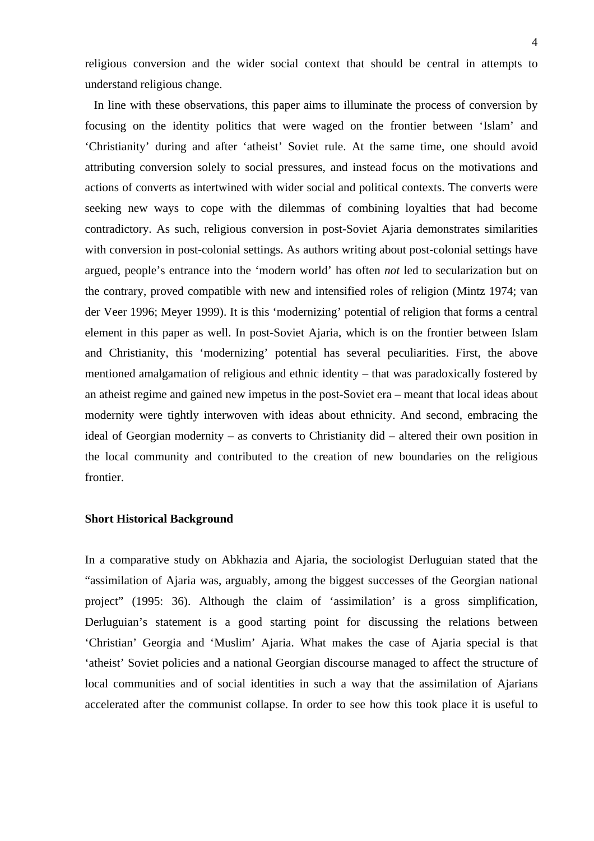religious conversion and the wider social context that should be central in attempts to understand religious change.

 In line with these observations, this paper aims to illuminate the process of conversion by focusing on the identity politics that were waged on the frontier between 'Islam' and 'Christianity' during and after 'atheist' Soviet rule. At the same time, one should avoid attributing conversion solely to social pressures, and instead focus on the motivations and actions of converts as intertwined with wider social and political contexts. The converts were seeking new ways to cope with the dilemmas of combining loyalties that had become contradictory. As such, religious conversion in post-Soviet Ajaria demonstrates similarities with conversion in post-colonial settings. As authors writing about post-colonial settings have argued, people's entrance into the 'modern world' has often *not* led to secularization but on the contrary, proved compatible with new and intensified roles of religion (Mintz 1974; van der Veer 1996; Meyer 1999). It is this 'modernizing' potential of religion that forms a central element in this paper as well. In post-Soviet Ajaria, which is on the frontier between Islam and Christianity, this 'modernizing' potential has several peculiarities. First, the above mentioned amalgamation of religious and ethnic identity – that was paradoxically fostered by an atheist regime and gained new impetus in the post-Soviet era – meant that local ideas about modernity were tightly interwoven with ideas about ethnicity. And second, embracing the ideal of Georgian modernity – as converts to Christianity did – altered their own position in the local community and contributed to the creation of new boundaries on the religious frontier.

#### **Short Historical Background**

In a comparative study on Abkhazia and Ajaria, the sociologist Derluguian stated that the "assimilation of Ajaria was, arguably, among the biggest successes of the Georgian national project" (1995: 36). Although the claim of 'assimilation' is a gross simplification, Derluguian's statement is a good starting point for discussing the relations between 'Christian' Georgia and 'Muslim' Ajaria. What makes the case of Ajaria special is that 'atheist' Soviet policies and a national Georgian discourse managed to affect the structure of local communities and of social identities in such a way that the assimilation of Ajarians accelerated after the communist collapse. In order to see how this took place it is useful to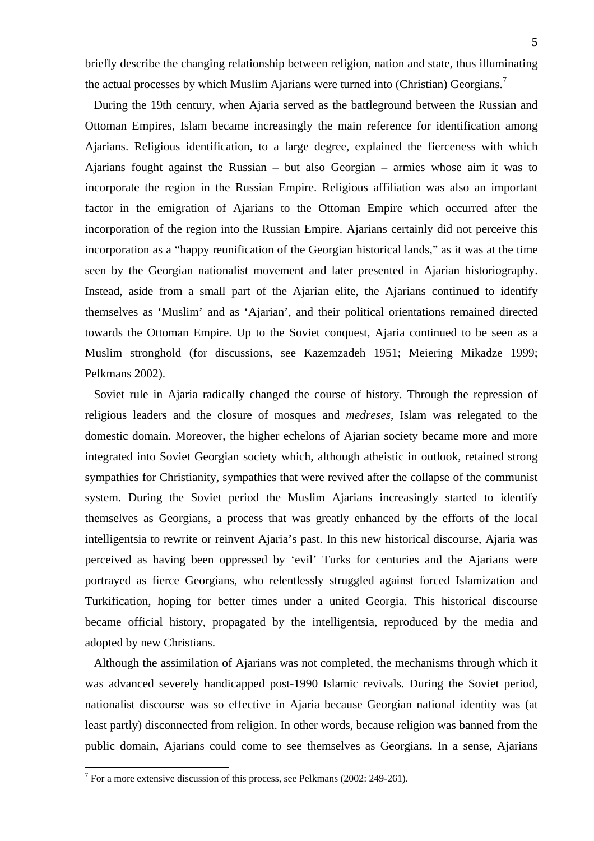briefly describe the changing relationship between religion, nation and state, thus illuminating the actual processes by which Muslim Ajarians were turned into (Christian) Georgians.<sup>7</sup>

 During the 19th century, when Ajaria served as the battleground between the Russian and Ottoman Empires, Islam became increasingly the main reference for identification among Ajarians. Religious identification, to a large degree, explained the fierceness with which Ajarians fought against the Russian – but also Georgian – armies whose aim it was to incorporate the region in the Russian Empire. Religious affiliation was also an important factor in the emigration of Ajarians to the Ottoman Empire which occurred after the incorporation of the region into the Russian Empire. Ajarians certainly did not perceive this incorporation as a "happy reunification of the Georgian historical lands," as it was at the time seen by the Georgian nationalist movement and later presented in Ajarian historiography. Instead, aside from a small part of the Ajarian elite, the Ajarians continued to identify themselves as 'Muslim' and as 'Ajarian', and their political orientations remained directed towards the Ottoman Empire. Up to the Soviet conquest, Ajaria continued to be seen as a Muslim stronghold (for discussions, see Kazemzadeh 1951; Meiering Mikadze 1999; Pelkmans 2002).

 Soviet rule in Ajaria radically changed the course of history. Through the repression of religious leaders and the closure of mosques and *medreses*, Islam was relegated to the domestic domain. Moreover, the higher echelons of Ajarian society became more and more integrated into Soviet Georgian society which, although atheistic in outlook, retained strong sympathies for Christianity, sympathies that were revived after the collapse of the communist system. During the Soviet period the Muslim Ajarians increasingly started to identify themselves as Georgians, a process that was greatly enhanced by the efforts of the local intelligentsia to rewrite or reinvent Ajaria's past. In this new historical discourse, Ajaria was perceived as having been oppressed by 'evil' Turks for centuries and the Ajarians were portrayed as fierce Georgians, who relentlessly struggled against forced Islamization and Turkification, hoping for better times under a united Georgia. This historical discourse became official history, propagated by the intelligentsia, reproduced by the media and adopted by new Christians.

 Although the assimilation of Ajarians was not completed, the mechanisms through which it was advanced severely handicapped post-1990 Islamic revivals. During the Soviet period, nationalist discourse was so effective in Ajaria because Georgian national identity was (at least partly) disconnected from religion. In other words, because religion was banned from the public domain, Ajarians could come to see themselves as Georgians. In a sense, Ajarians

<sup>&</sup>lt;sup>7</sup> For a more extensive discussion of this process, see Pelkmans (2002: 249-261).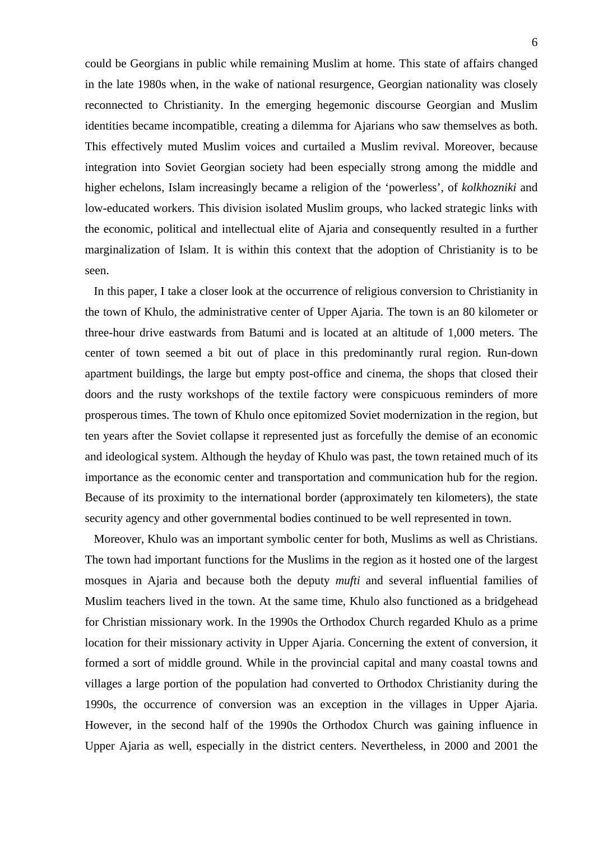could be Georgians in public while remaining Muslim at home. This state of affairs changed in the late 1980s when, in the wake of national resurgence, Georgian nationality was closely reconnected to Christianity. In the emerging hegemonic discourse Georgian and Muslim identities became incompatible, creating a dilemma for Ajarians who saw themselves as both. This effectively muted Muslim voices and curtailed a Muslim revival. Moreover, because integration into Soviet Georgian society had been especially strong among the middle and higher echelons, Islam increasingly became a religion of the 'powerless', of *kolkhozniki* and low-educated workers. This division isolated Muslim groups, who lacked strategic links with the economic, political and intellectual elite of Ajaria and consequently resulted in a further marginalization of Islam. It is within this context that the adoption of Christianity is to be seen.

 In this paper, I take a closer look at the occurrence of religious conversion to Christianity in the town of Khulo, the administrative center of Upper Ajaria. The town is an 80 kilometer or three-hour drive eastwards from Batumi and is located at an altitude of 1,000 meters. The center of town seemed a bit out of place in this predominantly rural region. Run-down apartment buildings, the large but empty post-office and cinema, the shops that closed their doors and the rusty workshops of the textile factory were conspicuous reminders of more prosperous times. The town of Khulo once epitomized Soviet modernization in the region, but ten years after the Soviet collapse it represented just as forcefully the demise of an economic and ideological system. Although the heyday of Khulo was past, the town retained much of its importance as the economic center and transportation and communication hub for the region. Because of its proximity to the international border (approximately ten kilometers), the state security agency and other governmental bodies continued to be well represented in town.

 Moreover, Khulo was an important symbolic center for both, Muslims as well as Christians. The town had important functions for the Muslims in the region as it hosted one of the largest mosques in Ajaria and because both the deputy *mufti* and several influential families of Muslim teachers lived in the town. At the same time, Khulo also functioned as a bridgehead for Christian missionary work. In the 1990s the Orthodox Church regarded Khulo as a prime location for their missionary activity in Upper Ajaria. Concerning the extent of conversion, it formed a sort of middle ground. While in the provincial capital and many coastal towns and villages a large portion of the population had converted to Orthodox Christianity during the 1990s, the occurrence of conversion was an exception in the villages in Upper Ajaria. However, in the second half of the 1990s the Orthodox Church was gaining influence in Upper Ajaria as well, especially in the district centers. Nevertheless, in 2000 and 2001 the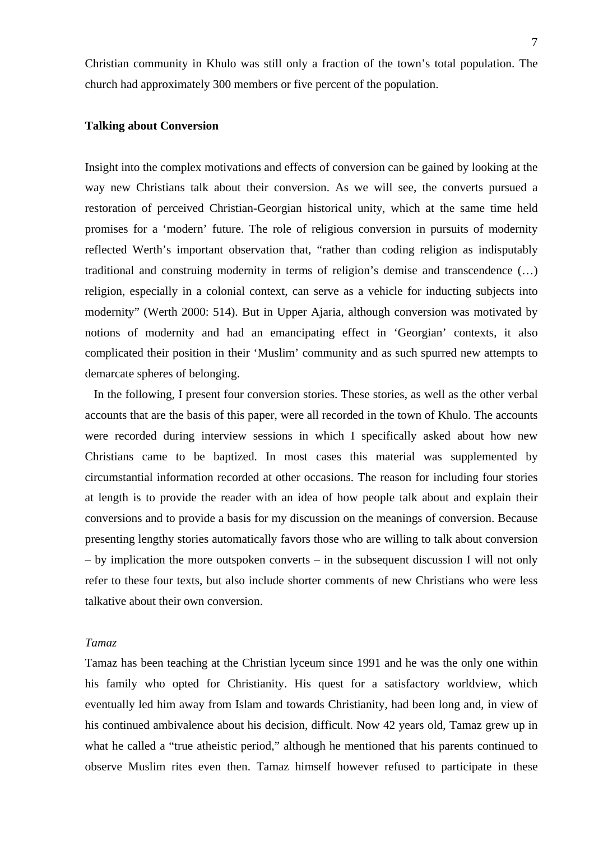Christian community in Khulo was still only a fraction of the town's total population. The church had approximately 300 members or five percent of the population.

#### **Talking about Conversion**

Insight into the complex motivations and effects of conversion can be gained by looking at the way new Christians talk about their conversion. As we will see, the converts pursued a restoration of perceived Christian-Georgian historical unity, which at the same time held promises for a 'modern' future. The role of religious conversion in pursuits of modernity reflected Werth's important observation that, "rather than coding religion as indisputably traditional and construing modernity in terms of religion's demise and transcendence (…) religion, especially in a colonial context, can serve as a vehicle for inducting subjects into modernity" (Werth 2000: 514). But in Upper Ajaria, although conversion was motivated by notions of modernity and had an emancipating effect in 'Georgian' contexts, it also complicated their position in their 'Muslim' community and as such spurred new attempts to demarcate spheres of belonging.

 In the following, I present four conversion stories. These stories, as well as the other verbal accounts that are the basis of this paper, were all recorded in the town of Khulo. The accounts were recorded during interview sessions in which I specifically asked about how new Christians came to be baptized. In most cases this material was supplemented by circumstantial information recorded at other occasions. The reason for including four stories at length is to provide the reader with an idea of how people talk about and explain their conversions and to provide a basis for my discussion on the meanings of conversion. Because presenting lengthy stories automatically favors those who are willing to talk about conversion – by implication the more outspoken converts – in the subsequent discussion I will not only refer to these four texts, but also include shorter comments of new Christians who were less talkative about their own conversion.

#### *Tamaz*

Tamaz has been teaching at the Christian lyceum since 1991 and he was the only one within his family who opted for Christianity. His quest for a satisfactory worldview, which eventually led him away from Islam and towards Christianity, had been long and, in view of his continued ambivalence about his decision, difficult. Now 42 years old, Tamaz grew up in what he called a "true atheistic period," although he mentioned that his parents continued to observe Muslim rites even then. Tamaz himself however refused to participate in these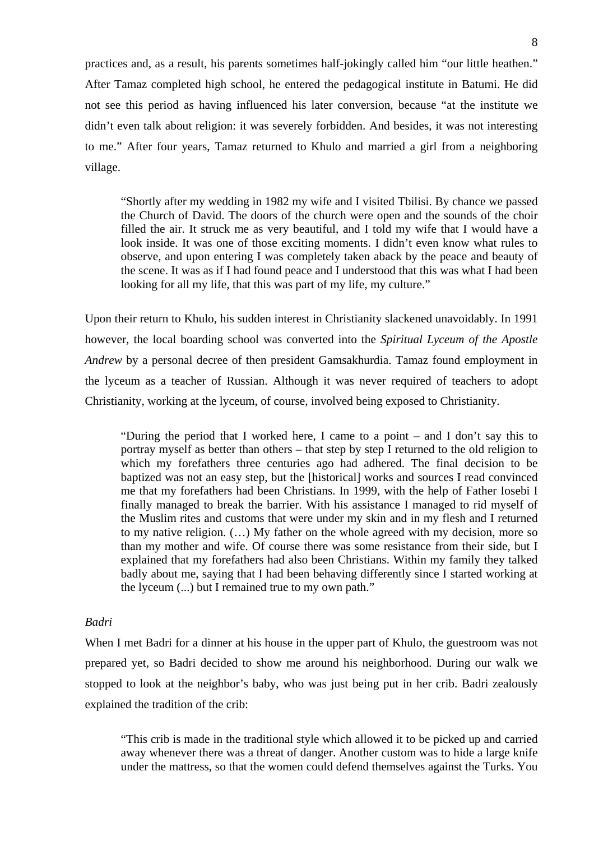practices and, as a result, his parents sometimes half-jokingly called him "our little heathen." After Tamaz completed high school, he entered the pedagogical institute in Batumi. He did not see this period as having influenced his later conversion, because "at the institute we didn't even talk about religion: it was severely forbidden. And besides, it was not interesting to me." After four years, Tamaz returned to Khulo and married a girl from a neighboring village.

"Shortly after my wedding in 1982 my wife and I visited Tbilisi. By chance we passed the Church of David. The doors of the church were open and the sounds of the choir filled the air. It struck me as very beautiful, and I told my wife that I would have a look inside. It was one of those exciting moments. I didn't even know what rules to observe, and upon entering I was completely taken aback by the peace and beauty of the scene. It was as if I had found peace and I understood that this was what I had been looking for all my life, that this was part of my life, my culture."

Upon their return to Khulo, his sudden interest in Christianity slackened unavoidably. In 1991 however, the local boarding school was converted into the *Spiritual Lyceum of the Apostle Andrew* by a personal decree of then president Gamsakhurdia. Tamaz found employment in the lyceum as a teacher of Russian. Although it was never required of teachers to adopt Christianity, working at the lyceum, of course, involved being exposed to Christianity.

"During the period that I worked here, I came to a point – and I don't say this to portray myself as better than others – that step by step I returned to the old religion to which my forefathers three centuries ago had adhered. The final decision to be baptized was not an easy step, but the [historical] works and sources I read convinced me that my forefathers had been Christians. In 1999, with the help of Father Iosebi I finally managed to break the barrier. With his assistance I managed to rid myself of the Muslim rites and customs that were under my skin and in my flesh and I returned to my native religion. (…) My father on the whole agreed with my decision, more so than my mother and wife. Of course there was some resistance from their side, but I explained that my forefathers had also been Christians. Within my family they talked badly about me, saying that I had been behaving differently since I started working at the lyceum (...) but I remained true to my own path."

#### *Badri*

When I met Badri for a dinner at his house in the upper part of Khulo, the guestroom was not prepared yet, so Badri decided to show me around his neighborhood. During our walk we stopped to look at the neighbor's baby, who was just being put in her crib. Badri zealously explained the tradition of the crib:

"This crib is made in the traditional style which allowed it to be picked up and carried away whenever there was a threat of danger. Another custom was to hide a large knife under the mattress, so that the women could defend themselves against the Turks. You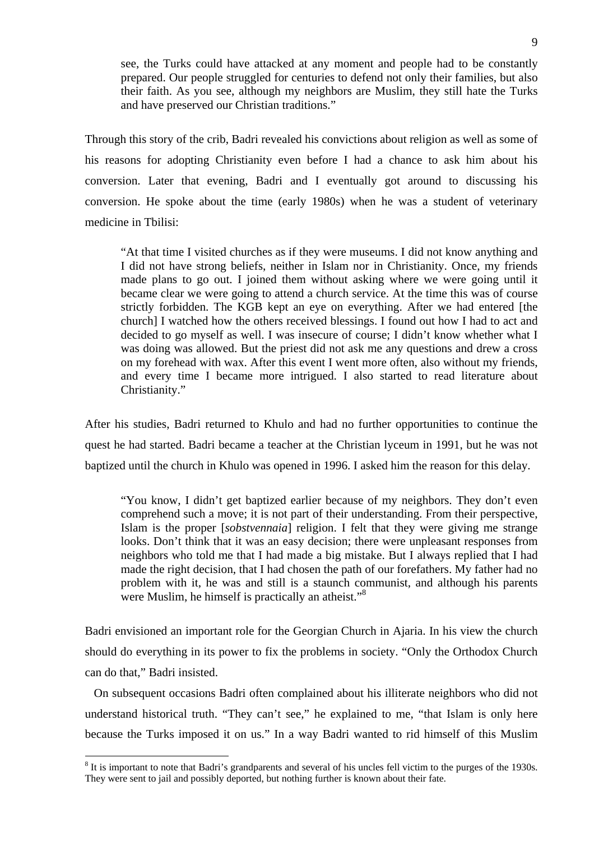see, the Turks could have attacked at any moment and people had to be constantly prepared. Our people struggled for centuries to defend not only their families, but also their faith. As you see, although my neighbors are Muslim, they still hate the Turks and have preserved our Christian traditions."

Through this story of the crib, Badri revealed his convictions about religion as well as some of his reasons for adopting Christianity even before I had a chance to ask him about his conversion. Later that evening, Badri and I eventually got around to discussing his conversion. He spoke about the time (early 1980s) when he was a student of veterinary medicine in Tbilisi:

"At that time I visited churches as if they were museums. I did not know anything and I did not have strong beliefs, neither in Islam nor in Christianity. Once, my friends made plans to go out. I joined them without asking where we were going until it became clear we were going to attend a church service. At the time this was of course strictly forbidden. The KGB kept an eye on everything. After we had entered [the church] I watched how the others received blessings. I found out how I had to act and decided to go myself as well. I was insecure of course; I didn't know whether what I was doing was allowed. But the priest did not ask me any questions and drew a cross on my forehead with wax. After this event I went more often, also without my friends, and every time I became more intrigued. I also started to read literature about Christianity."

After his studies, Badri returned to Khulo and had no further opportunities to continue the quest he had started. Badri became a teacher at the Christian lyceum in 1991, but he was not baptized until the church in Khulo was opened in 1996. I asked him the reason for this delay.

"You know, I didn't get baptized earlier because of my neighbors. They don't even comprehend such a move; it is not part of their understanding. From their perspective, Islam is the proper [*sobstvennaia*] religion. I felt that they were giving me strange looks. Don't think that it was an easy decision; there were unpleasant responses from neighbors who told me that I had made a big mistake. But I always replied that I had made the right decision, that I had chosen the path of our forefathers. My father had no problem with it, he was and still is a staunch communist, and although his parents were Muslim, he himself is practically an atheist."<sup>8</sup>

Badri envisioned an important role for the Georgian Church in Ajaria. In his view the church should do everything in its power to fix the problems in society. "Only the Orthodox Church can do that," Badri insisted.

 On subsequent occasions Badri often complained about his illiterate neighbors who did not understand historical truth. "They can't see," he explained to me, "that Islam is only here because the Turks imposed it on us." In a way Badri wanted to rid himself of this Muslim

 $8$  It is important to note that Badri's grandparents and several of his uncles fell victim to the purges of the 1930s. They were sent to jail and possibly deported, but nothing further is known about their fate.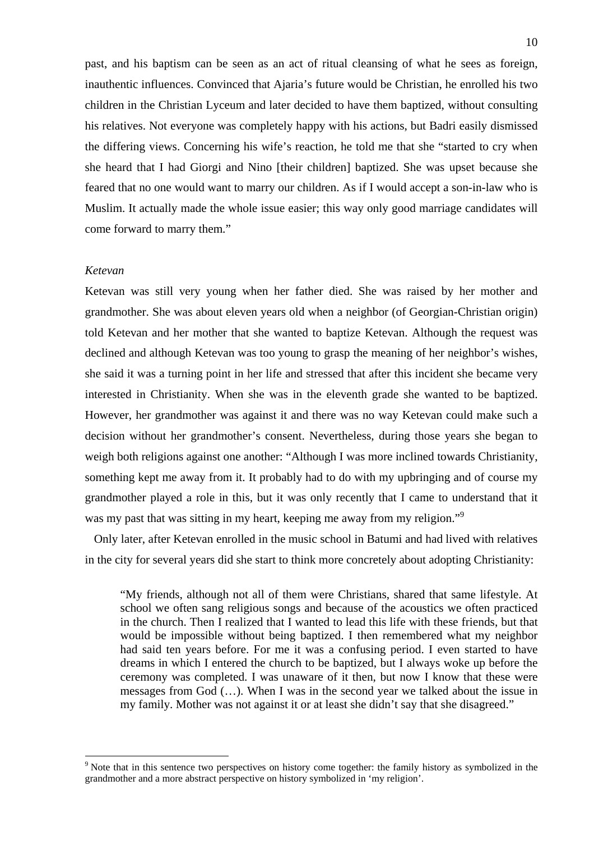past, and his baptism can be seen as an act of ritual cleansing of what he sees as foreign, inauthentic influences. Convinced that Ajaria's future would be Christian, he enrolled his two children in the Christian Lyceum and later decided to have them baptized, without consulting his relatives. Not everyone was completely happy with his actions, but Badri easily dismissed the differing views. Concerning his wife's reaction, he told me that she "started to cry when she heard that I had Giorgi and Nino [their children] baptized. She was upset because she feared that no one would want to marry our children. As if I would accept a son-in-law who is Muslim. It actually made the whole issue easier; this way only good marriage candidates will come forward to marry them."

#### *Ketevan*

 $\overline{a}$ 

Ketevan was still very young when her father died. She was raised by her mother and grandmother. She was about eleven years old when a neighbor (of Georgian-Christian origin) told Ketevan and her mother that she wanted to baptize Ketevan. Although the request was declined and although Ketevan was too young to grasp the meaning of her neighbor's wishes, she said it was a turning point in her life and stressed that after this incident she became very interested in Christianity. When she was in the eleventh grade she wanted to be baptized. However, her grandmother was against it and there was no way Ketevan could make such a decision without her grandmother's consent. Nevertheless, during those years she began to weigh both religions against one another: "Although I was more inclined towards Christianity, something kept me away from it. It probably had to do with my upbringing and of course my grandmother played a role in this, but it was only recently that I came to understand that it was my past that was sitting in my heart, keeping me away from my religion."<sup>9</sup>

 Only later, after Ketevan enrolled in the music school in Batumi and had lived with relatives in the city for several years did she start to think more concretely about adopting Christianity:

"My friends, although not all of them were Christians, shared that same lifestyle. At school we often sang religious songs and because of the acoustics we often practiced in the church. Then I realized that I wanted to lead this life with these friends, but that would be impossible without being baptized. I then remembered what my neighbor had said ten years before. For me it was a confusing period. I even started to have dreams in which I entered the church to be baptized, but I always woke up before the ceremony was completed. I was unaware of it then, but now I know that these were messages from God (…). When I was in the second year we talked about the issue in my family. Mother was not against it or at least she didn't say that she disagreed."

<sup>&</sup>lt;sup>9</sup> Note that in this sentence two perspectives on history come together: the family history as symbolized in the grandmother and a more abstract perspective on history symbolized in 'my religion'.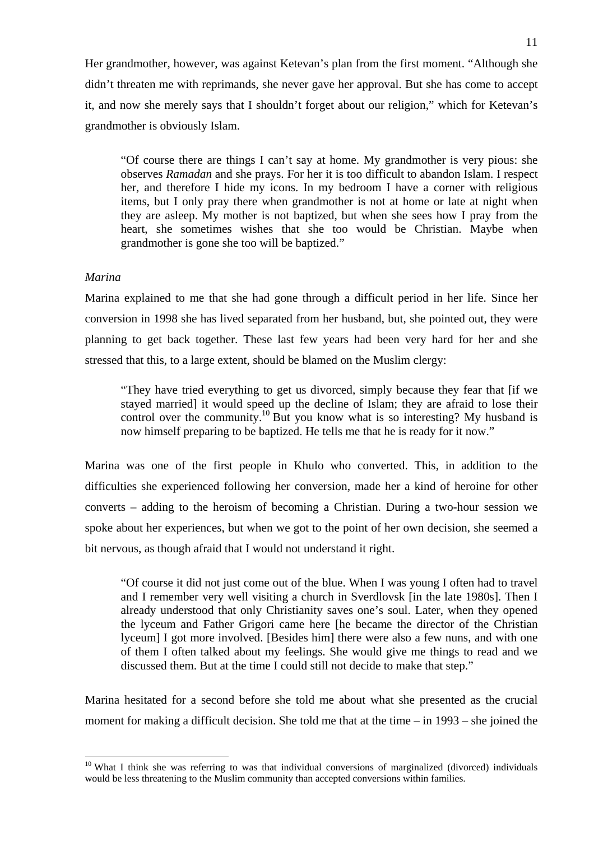Her grandmother, however, was against Ketevan's plan from the first moment. "Although she didn't threaten me with reprimands, she never gave her approval. But she has come to accept it, and now she merely says that I shouldn't forget about our religion," which for Ketevan's grandmother is obviously Islam.

"Of course there are things I can't say at home. My grandmother is very pious: she observes *Ramadan* and she prays. For her it is too difficult to abandon Islam. I respect her, and therefore I hide my icons. In my bedroom I have a corner with religious items, but I only pray there when grandmother is not at home or late at night when they are asleep. My mother is not baptized, but when she sees how I pray from the heart, she sometimes wishes that she too would be Christian. Maybe when grandmother is gone she too will be baptized."

#### *Marina*

 $\overline{a}$ 

Marina explained to me that she had gone through a difficult period in her life. Since her conversion in 1998 she has lived separated from her husband, but, she pointed out, they were planning to get back together. These last few years had been very hard for her and she stressed that this, to a large extent, should be blamed on the Muslim clergy:

"They have tried everything to get us divorced, simply because they fear that [if we stayed married] it would speed up the decline of Islam; they are afraid to lose their control over the community.<sup>10</sup> But you know what is so interesting? My husband is now himself preparing to be baptized. He tells me that he is ready for it now."

Marina was one of the first people in Khulo who converted. This, in addition to the difficulties she experienced following her conversion, made her a kind of heroine for other converts – adding to the heroism of becoming a Christian. During a two-hour session we spoke about her experiences, but when we got to the point of her own decision, she seemed a bit nervous, as though afraid that I would not understand it right.

"Of course it did not just come out of the blue. When I was young I often had to travel and I remember very well visiting a church in Sverdlovsk [in the late 1980s]. Then I already understood that only Christianity saves one's soul. Later, when they opened the lyceum and Father Grigori came here [he became the director of the Christian lyceum] I got more involved. [Besides him] there were also a few nuns, and with one of them I often talked about my feelings. She would give me things to read and we discussed them. But at the time I could still not decide to make that step."

Marina hesitated for a second before she told me about what she presented as the crucial moment for making a difficult decision. She told me that at the time – in 1993 – she joined the

<sup>&</sup>lt;sup>10</sup> What I think she was referring to was that individual conversions of marginalized (divorced) individuals would be less threatening to the Muslim community than accepted conversions within families.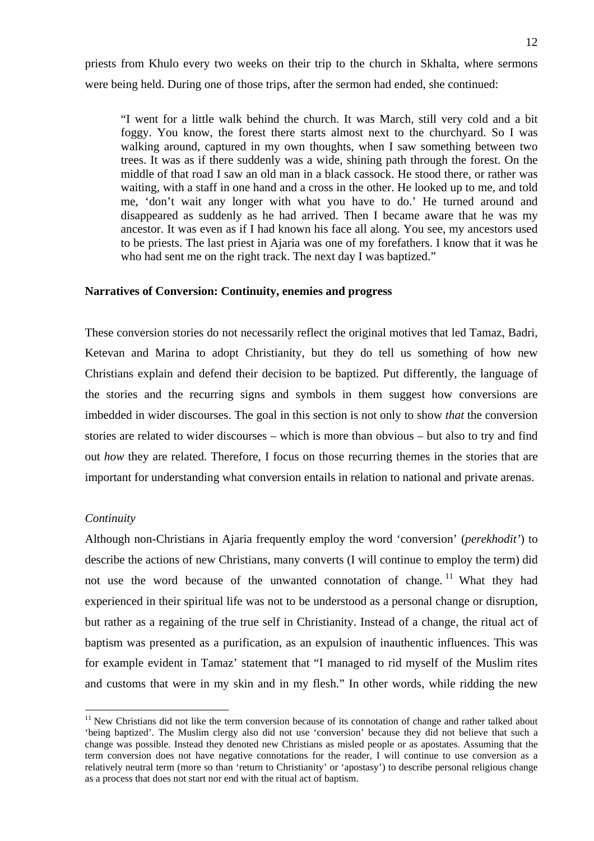priests from Khulo every two weeks on their trip to the church in Skhalta, where sermons were being held. During one of those trips, after the sermon had ended, she continued:

"I went for a little walk behind the church. It was March, still very cold and a bit foggy. You know, the forest there starts almost next to the churchyard. So I was walking around, captured in my own thoughts, when I saw something between two trees. It was as if there suddenly was a wide, shining path through the forest. On the middle of that road I saw an old man in a black cassock. He stood there, or rather was waiting, with a staff in one hand and a cross in the other. He looked up to me, and told me, 'don't wait any longer with what you have to do.' He turned around and disappeared as suddenly as he had arrived. Then I became aware that he was my ancestor. It was even as if I had known his face all along. You see, my ancestors used to be priests. The last priest in Ajaria was one of my forefathers. I know that it was he who had sent me on the right track. The next day I was baptized."

#### **Narratives of Conversion: Continuity, enemies and progress**

These conversion stories do not necessarily reflect the original motives that led Tamaz, Badri, Ketevan and Marina to adopt Christianity, but they do tell us something of how new Christians explain and defend their decision to be baptized. Put differently, the language of the stories and the recurring signs and symbols in them suggest how conversions are imbedded in wider discourses. The goal in this section is not only to show *that* the conversion stories are related to wider discourses – which is more than obvious – but also to try and find out *how* they are related. Therefore, I focus on those recurring themes in the stories that are important for understanding what conversion entails in relation to national and private arenas.

#### *Continuity*

 $\overline{a}$ 

Although non-Christians in Ajaria frequently employ the word 'conversion' (*perekhodit'*) to describe the actions of new Christians, many converts (I will continue to employ the term) did not use the word because of the unwanted connotation of change.<sup>11</sup> What they had experienced in their spiritual life was not to be understood as a personal change or disruption, but rather as a regaining of the true self in Christianity. Instead of a change, the ritual act of baptism was presented as a purification, as an expulsion of inauthentic influences. This was for example evident in Tamaz' statement that "I managed to rid myself of the Muslim rites and customs that were in my skin and in my flesh." In other words, while ridding the new

 $11$  New Christians did not like the term conversion because of its connotation of change and rather talked about 'being baptized'. The Muslim clergy also did not use 'conversion' because they did not believe that such a change was possible. Instead they denoted new Christians as misled people or as apostates. Assuming that the term conversion does not have negative connotations for the reader, I will continue to use conversion as a relatively neutral term (more so than 'return to Christianity' or 'apostasy') to describe personal religious change as a process that does not start nor end with the ritual act of baptism.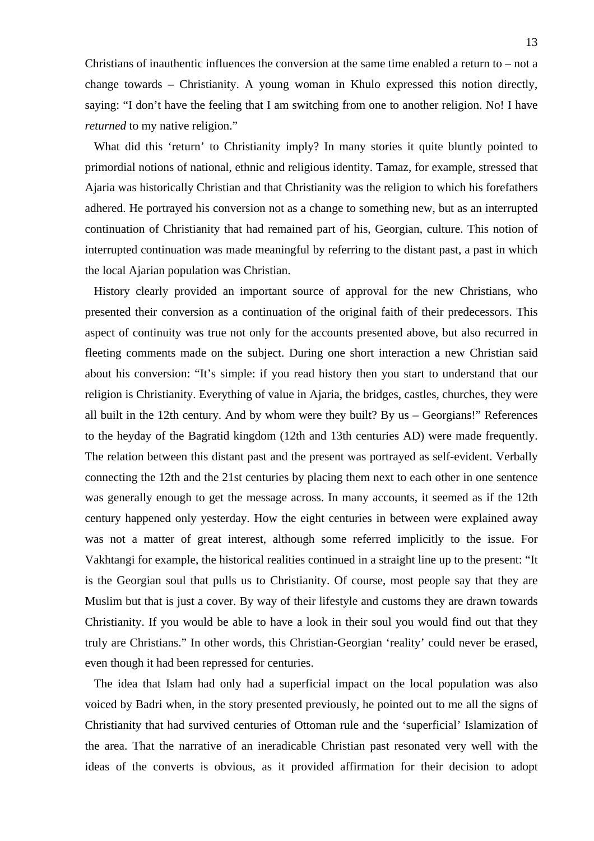Christians of inauthentic influences the conversion at the same time enabled a return to – not a change towards – Christianity. A young woman in Khulo expressed this notion directly, saying: "I don't have the feeling that I am switching from one to another religion. No! I have *returned* to my native religion."

What did this 'return' to Christianity imply? In many stories it quite bluntly pointed to primordial notions of national, ethnic and religious identity. Tamaz, for example, stressed that Ajaria was historically Christian and that Christianity was the religion to which his forefathers adhered. He portrayed his conversion not as a change to something new, but as an interrupted continuation of Christianity that had remained part of his, Georgian, culture. This notion of interrupted continuation was made meaningful by referring to the distant past, a past in which the local Ajarian population was Christian.

 History clearly provided an important source of approval for the new Christians, who presented their conversion as a continuation of the original faith of their predecessors. This aspect of continuity was true not only for the accounts presented above, but also recurred in fleeting comments made on the subject. During one short interaction a new Christian said about his conversion: "It's simple: if you read history then you start to understand that our religion is Christianity. Everything of value in Ajaria, the bridges, castles, churches, they were all built in the 12th century. And by whom were they built? By us – Georgians!" References to the heyday of the Bagratid kingdom (12th and 13th centuries AD) were made frequently. The relation between this distant past and the present was portrayed as self-evident. Verbally connecting the 12th and the 21st centuries by placing them next to each other in one sentence was generally enough to get the message across. In many accounts, it seemed as if the 12th century happened only yesterday. How the eight centuries in between were explained away was not a matter of great interest, although some referred implicitly to the issue. For Vakhtangi for example, the historical realities continued in a straight line up to the present: "It is the Georgian soul that pulls us to Christianity. Of course, most people say that they are Muslim but that is just a cover. By way of their lifestyle and customs they are drawn towards Christianity. If you would be able to have a look in their soul you would find out that they truly are Christians." In other words, this Christian-Georgian 'reality' could never be erased, even though it had been repressed for centuries.

 The idea that Islam had only had a superficial impact on the local population was also voiced by Badri when, in the story presented previously, he pointed out to me all the signs of Christianity that had survived centuries of Ottoman rule and the 'superficial' Islamization of the area. That the narrative of an ineradicable Christian past resonated very well with the ideas of the converts is obvious, as it provided affirmation for their decision to adopt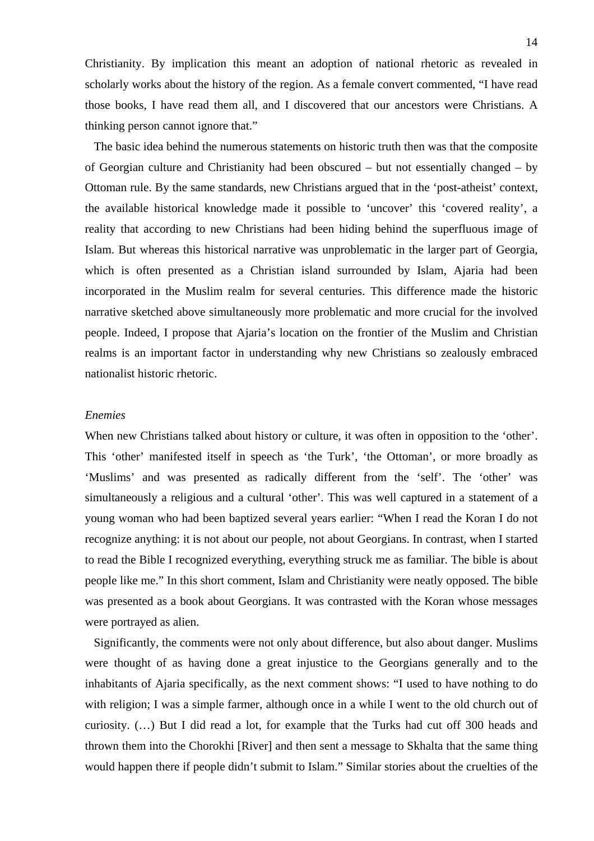Christianity. By implication this meant an adoption of national rhetoric as revealed in scholarly works about the history of the region. As a female convert commented, "I have read those books, I have read them all, and I discovered that our ancestors were Christians. A thinking person cannot ignore that."

 The basic idea behind the numerous statements on historic truth then was that the composite of Georgian culture and Christianity had been obscured – but not essentially changed – by Ottoman rule. By the same standards, new Christians argued that in the 'post-atheist' context, the available historical knowledge made it possible to 'uncover' this 'covered reality', a reality that according to new Christians had been hiding behind the superfluous image of Islam. But whereas this historical narrative was unproblematic in the larger part of Georgia, which is often presented as a Christian island surrounded by Islam, Ajaria had been incorporated in the Muslim realm for several centuries. This difference made the historic narrative sketched above simultaneously more problematic and more crucial for the involved people. Indeed, I propose that Ajaria's location on the frontier of the Muslim and Christian realms is an important factor in understanding why new Christians so zealously embraced nationalist historic rhetoric.

#### *Enemies*

When new Christians talked about history or culture, it was often in opposition to the 'other'. This 'other' manifested itself in speech as 'the Turk', 'the Ottoman', or more broadly as 'Muslims' and was presented as radically different from the 'self'. The 'other' was simultaneously a religious and a cultural 'other'. This was well captured in a statement of a young woman who had been baptized several years earlier: "When I read the Koran I do not recognize anything: it is not about our people, not about Georgians. In contrast, when I started to read the Bible I recognized everything, everything struck me as familiar. The bible is about people like me." In this short comment, Islam and Christianity were neatly opposed. The bible was presented as a book about Georgians. It was contrasted with the Koran whose messages were portrayed as alien.

 Significantly, the comments were not only about difference, but also about danger. Muslims were thought of as having done a great injustice to the Georgians generally and to the inhabitants of Ajaria specifically, as the next comment shows: "I used to have nothing to do with religion; I was a simple farmer, although once in a while I went to the old church out of curiosity. (…) But I did read a lot, for example that the Turks had cut off 300 heads and thrown them into the Chorokhi [River] and then sent a message to Skhalta that the same thing would happen there if people didn't submit to Islam." Similar stories about the cruelties of the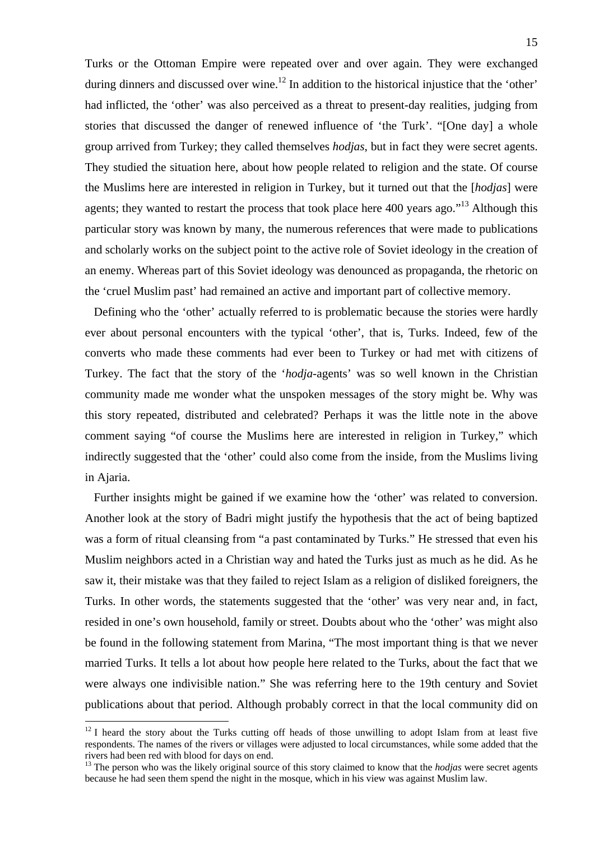Turks or the Ottoman Empire were repeated over and over again. They were exchanged during dinners and discussed over wine.<sup>12</sup> In addition to the historical injustice that the 'other' had inflicted, the 'other' was also perceived as a threat to present-day realities, judging from stories that discussed the danger of renewed influence of 'the Turk'. "[One day] a whole group arrived from Turkey; they called themselves *hodjas*, but in fact they were secret agents. They studied the situation here, about how people related to religion and the state. Of course the Muslims here are interested in religion in Turkey, but it turned out that the [*hodjas*] were agents; they wanted to restart the process that took place here 400 years ago."<sup>13</sup> Although this particular story was known by many, the numerous references that were made to publications and scholarly works on the subject point to the active role of Soviet ideology in the creation of an enemy. Whereas part of this Soviet ideology was denounced as propaganda, the rhetoric on the 'cruel Muslim past' had remained an active and important part of collective memory.

 Defining who the 'other' actually referred to is problematic because the stories were hardly ever about personal encounters with the typical 'other', that is, Turks. Indeed, few of the converts who made these comments had ever been to Turkey or had met with citizens of Turkey. The fact that the story of the '*hodja*-agents' was so well known in the Christian community made me wonder what the unspoken messages of the story might be. Why was this story repeated, distributed and celebrated? Perhaps it was the little note in the above comment saying "of course the Muslims here are interested in religion in Turkey," which indirectly suggested that the 'other' could also come from the inside, from the Muslims living in Ajaria.

 Further insights might be gained if we examine how the 'other' was related to conversion. Another look at the story of Badri might justify the hypothesis that the act of being baptized was a form of ritual cleansing from "a past contaminated by Turks." He stressed that even his Muslim neighbors acted in a Christian way and hated the Turks just as much as he did. As he saw it, their mistake was that they failed to reject Islam as a religion of disliked foreigners, the Turks. In other words, the statements suggested that the 'other' was very near and, in fact, resided in one's own household, family or street. Doubts about who the 'other' was might also be found in the following statement from Marina, "The most important thing is that we never married Turks. It tells a lot about how people here related to the Turks, about the fact that we were always one indivisible nation." She was referring here to the 19th century and Soviet publications about that period. Although probably correct in that the local community did on

 $12$  I heard the story about the Turks cutting off heads of those unwilling to adopt Islam from at least five respondents. The names of the rivers or villages were adjusted to local circumstances, while some added that the rivers had been red with blood for days on end.

<sup>&</sup>lt;sup>13</sup> The person who was the likely original source of this story claimed to know that the *hodjas* were secret agents because he had seen them spend the night in the mosque, which in his view was against Muslim law.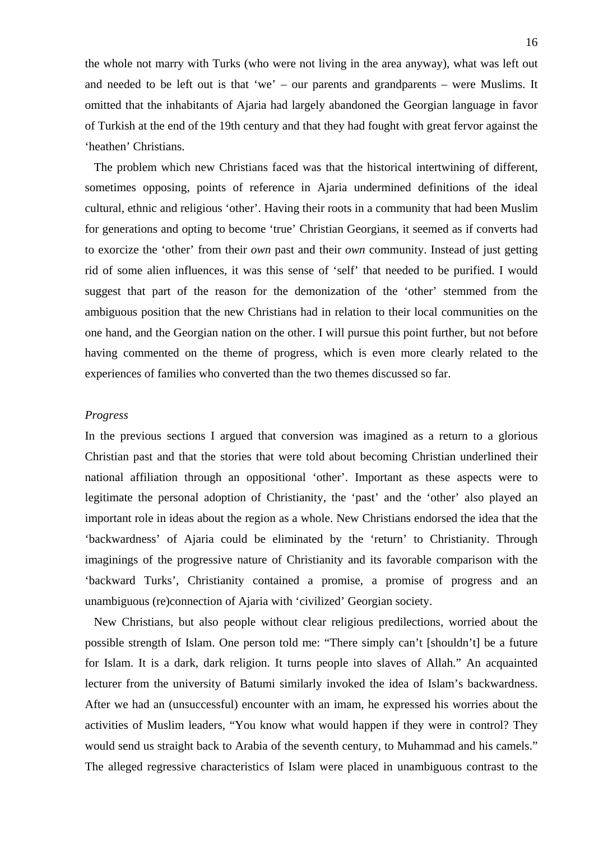the whole not marry with Turks (who were not living in the area anyway), what was left out and needed to be left out is that 'we' – our parents and grandparents – were Muslims. It omitted that the inhabitants of Ajaria had largely abandoned the Georgian language in favor of Turkish at the end of the 19th century and that they had fought with great fervor against the 'heathen' Christians.

 The problem which new Christians faced was that the historical intertwining of different, sometimes opposing, points of reference in Ajaria undermined definitions of the ideal cultural, ethnic and religious 'other'. Having their roots in a community that had been Muslim for generations and opting to become 'true' Christian Georgians, it seemed as if converts had to exorcize the 'other' from their *own* past and their *own* community. Instead of just getting rid of some alien influences, it was this sense of 'self' that needed to be purified. I would suggest that part of the reason for the demonization of the 'other' stemmed from the ambiguous position that the new Christians had in relation to their local communities on the one hand, and the Georgian nation on the other. I will pursue this point further, but not before having commented on the theme of progress, which is even more clearly related to the experiences of families who converted than the two themes discussed so far.

#### *Progress*

In the previous sections I argued that conversion was imagined as a return to a glorious Christian past and that the stories that were told about becoming Christian underlined their national affiliation through an oppositional 'other'. Important as these aspects were to legitimate the personal adoption of Christianity, the 'past' and the 'other' also played an important role in ideas about the region as a whole. New Christians endorsed the idea that the 'backwardness' of Ajaria could be eliminated by the 'return' to Christianity. Through imaginings of the progressive nature of Christianity and its favorable comparison with the 'backward Turks', Christianity contained a promise, a promise of progress and an unambiguous (re)connection of Ajaria with 'civilized' Georgian society.

 New Christians, but also people without clear religious predilections, worried about the possible strength of Islam. One person told me: "There simply can't [shouldn't] be a future for Islam. It is a dark, dark religion. It turns people into slaves of Allah." An acquainted lecturer from the university of Batumi similarly invoked the idea of Islam's backwardness. After we had an (unsuccessful) encounter with an imam, he expressed his worries about the activities of Muslim leaders, "You know what would happen if they were in control? They would send us straight back to Arabia of the seventh century, to Muhammad and his camels." The alleged regressive characteristics of Islam were placed in unambiguous contrast to the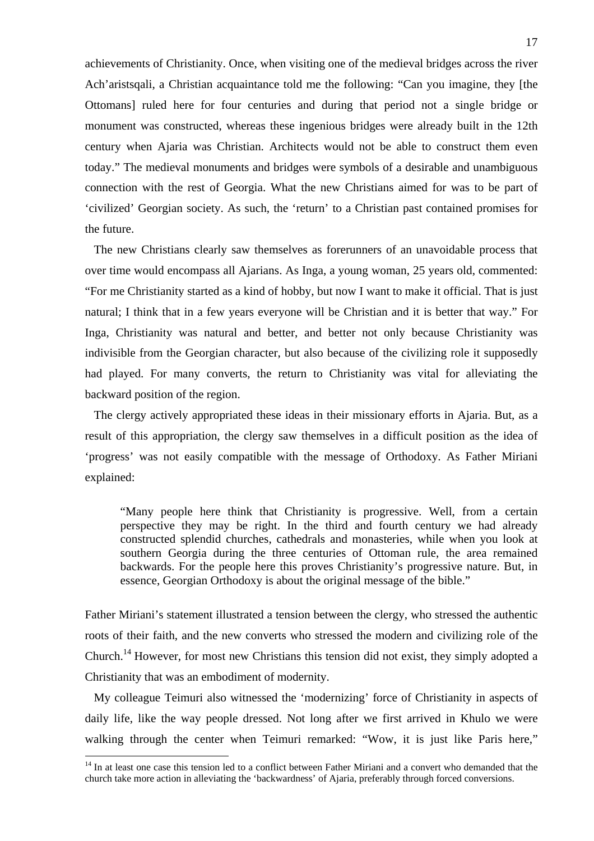achievements of Christianity. Once, when visiting one of the medieval bridges across the river Ach'aristsqali, a Christian acquaintance told me the following: "Can you imagine, they [the Ottomans] ruled here for four centuries and during that period not a single bridge or monument was constructed, whereas these ingenious bridges were already built in the 12th century when Ajaria was Christian. Architects would not be able to construct them even today." The medieval monuments and bridges were symbols of a desirable and unambiguous connection with the rest of Georgia. What the new Christians aimed for was to be part of 'civilized' Georgian society. As such, the 'return' to a Christian past contained promises for the future.

 The new Christians clearly saw themselves as forerunners of an unavoidable process that over time would encompass all Ajarians. As Inga, a young woman, 25 years old, commented: "For me Christianity started as a kind of hobby, but now I want to make it official. That is just natural; I think that in a few years everyone will be Christian and it is better that way." For Inga, Christianity was natural and better, and better not only because Christianity was indivisible from the Georgian character, but also because of the civilizing role it supposedly had played. For many converts, the return to Christianity was vital for alleviating the backward position of the region.

 The clergy actively appropriated these ideas in their missionary efforts in Ajaria. But, as a result of this appropriation, the clergy saw themselves in a difficult position as the idea of 'progress' was not easily compatible with the message of Orthodoxy. As Father Miriani explained:

"Many people here think that Christianity is progressive. Well, from a certain perspective they may be right. In the third and fourth century we had already constructed splendid churches, cathedrals and monasteries, while when you look at southern Georgia during the three centuries of Ottoman rule, the area remained backwards. For the people here this proves Christianity's progressive nature. But, in essence, Georgian Orthodoxy is about the original message of the bible."

Father Miriani's statement illustrated a tension between the clergy, who stressed the authentic roots of their faith, and the new converts who stressed the modern and civilizing role of the Church.14 However, for most new Christians this tension did not exist, they simply adopted a Christianity that was an embodiment of modernity.

 My colleague Teimuri also witnessed the 'modernizing' force of Christianity in aspects of daily life, like the way people dressed. Not long after we first arrived in Khulo we were walking through the center when Teimuri remarked: "Wow, it is just like Paris here,"

 $14$  In at least one case this tension led to a conflict between Father Miriani and a convert who demanded that the church take more action in alleviating the 'backwardness' of Ajaria, preferably through forced conversions.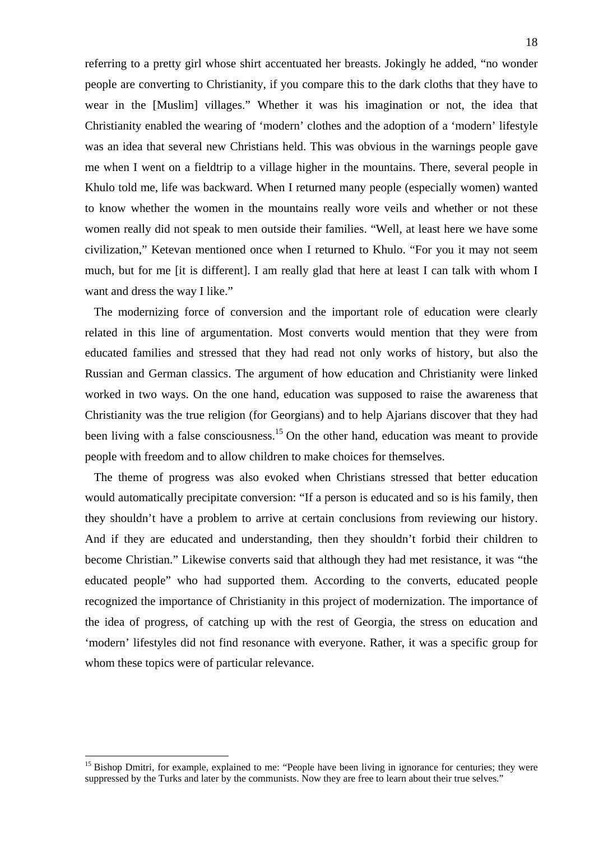referring to a pretty girl whose shirt accentuated her breasts. Jokingly he added, "no wonder people are converting to Christianity, if you compare this to the dark cloths that they have to wear in the [Muslim] villages." Whether it was his imagination or not, the idea that Christianity enabled the wearing of 'modern' clothes and the adoption of a 'modern' lifestyle was an idea that several new Christians held. This was obvious in the warnings people gave me when I went on a fieldtrip to a village higher in the mountains. There, several people in Khulo told me, life was backward. When I returned many people (especially women) wanted to know whether the women in the mountains really wore veils and whether or not these women really did not speak to men outside their families. "Well, at least here we have some civilization," Ketevan mentioned once when I returned to Khulo. "For you it may not seem much, but for me [it is different]. I am really glad that here at least I can talk with whom I want and dress the way I like."

 The modernizing force of conversion and the important role of education were clearly related in this line of argumentation. Most converts would mention that they were from educated families and stressed that they had read not only works of history, but also the Russian and German classics. The argument of how education and Christianity were linked worked in two ways. On the one hand, education was supposed to raise the awareness that Christianity was the true religion (for Georgians) and to help Ajarians discover that they had been living with a false consciousness.<sup>15</sup> On the other hand, education was meant to provide people with freedom and to allow children to make choices for themselves.

 The theme of progress was also evoked when Christians stressed that better education would automatically precipitate conversion: "If a person is educated and so is his family, then they shouldn't have a problem to arrive at certain conclusions from reviewing our history. And if they are educated and understanding, then they shouldn't forbid their children to become Christian." Likewise converts said that although they had met resistance, it was "the educated people" who had supported them. According to the converts, educated people recognized the importance of Christianity in this project of modernization. The importance of the idea of progress, of catching up with the rest of Georgia, the stress on education and 'modern' lifestyles did not find resonance with everyone. Rather, it was a specific group for whom these topics were of particular relevance.

<sup>&</sup>lt;sup>15</sup> Bishop Dmitri, for example, explained to me: "People have been living in ignorance for centuries; they were suppressed by the Turks and later by the communists. Now they are free to learn about their true selves."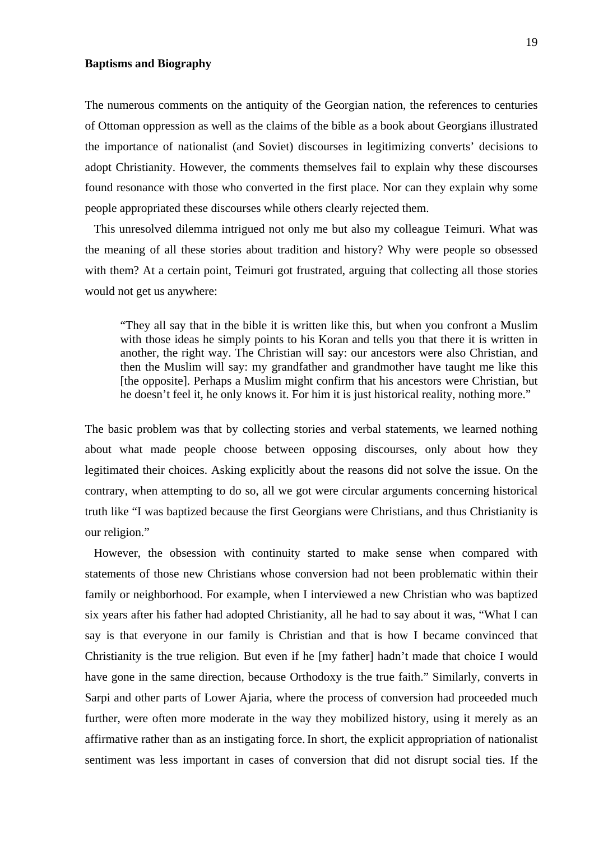#### **Baptisms and Biography**

The numerous comments on the antiquity of the Georgian nation, the references to centuries of Ottoman oppression as well as the claims of the bible as a book about Georgians illustrated the importance of nationalist (and Soviet) discourses in legitimizing converts' decisions to adopt Christianity. However, the comments themselves fail to explain why these discourses found resonance with those who converted in the first place. Nor can they explain why some people appropriated these discourses while others clearly rejected them.

 This unresolved dilemma intrigued not only me but also my colleague Teimuri. What was the meaning of all these stories about tradition and history? Why were people so obsessed with them? At a certain point, Teimuri got frustrated, arguing that collecting all those stories would not get us anywhere:

"They all say that in the bible it is written like this, but when you confront a Muslim with those ideas he simply points to his Koran and tells you that there it is written in another, the right way. The Christian will say: our ancestors were also Christian, and then the Muslim will say: my grandfather and grandmother have taught me like this [the opposite]. Perhaps a Muslim might confirm that his ancestors were Christian, but he doesn't feel it, he only knows it. For him it is just historical reality, nothing more."

The basic problem was that by collecting stories and verbal statements, we learned nothing about what made people choose between opposing discourses, only about how they legitimated their choices. Asking explicitly about the reasons did not solve the issue. On the contrary, when attempting to do so, all we got were circular arguments concerning historical truth like "I was baptized because the first Georgians were Christians, and thus Christianity is our religion."

 However, the obsession with continuity started to make sense when compared with statements of those new Christians whose conversion had not been problematic within their family or neighborhood. For example, when I interviewed a new Christian who was baptized six years after his father had adopted Christianity, all he had to say about it was, "What I can say is that everyone in our family is Christian and that is how I became convinced that Christianity is the true religion. But even if he [my father] hadn't made that choice I would have gone in the same direction, because Orthodoxy is the true faith." Similarly, converts in Sarpi and other parts of Lower Ajaria, where the process of conversion had proceeded much further, were often more moderate in the way they mobilized history, using it merely as an affirmative rather than as an instigating force.In short, the explicit appropriation of nationalist sentiment was less important in cases of conversion that did not disrupt social ties. If the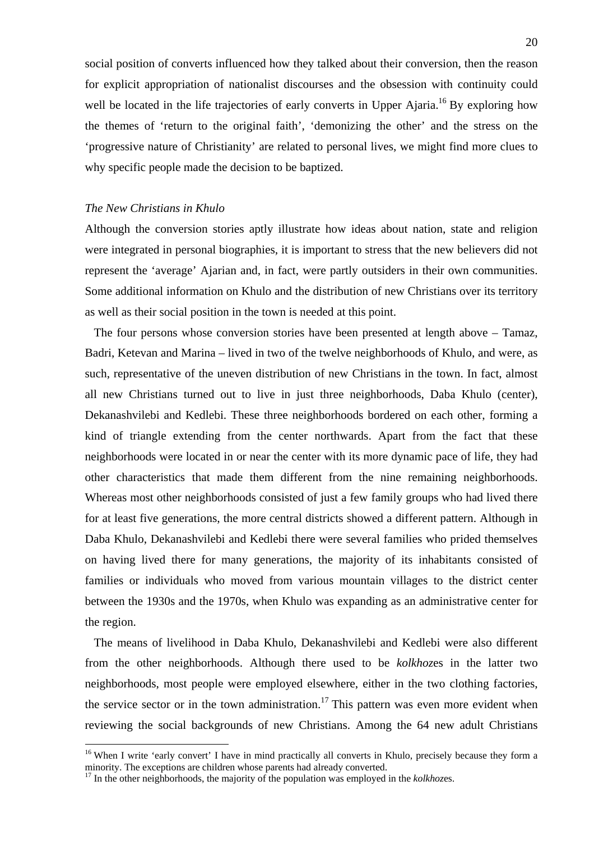social position of converts influenced how they talked about their conversion, then the reason for explicit appropriation of nationalist discourses and the obsession with continuity could well be located in the life trajectories of early converts in Upper Ajaria.<sup>16</sup> By exploring how the themes of 'return to the original faith', 'demonizing the other' and the stress on the 'progressive nature of Christianity' are related to personal lives, we might find more clues to why specific people made the decision to be baptized.

#### *The New Christians in Khulo*

 $\overline{a}$ 

Although the conversion stories aptly illustrate how ideas about nation, state and religion were integrated in personal biographies, it is important to stress that the new believers did not represent the 'average' Ajarian and, in fact, were partly outsiders in their own communities. Some additional information on Khulo and the distribution of new Christians over its territory as well as their social position in the town is needed at this point.

 The four persons whose conversion stories have been presented at length above – Tamaz, Badri. Ketevan and Marina – lived in two of the twelve neighborhoods of Khulo, and were, as such, representative of the uneven distribution of new Christians in the town. In fact, almost all new Christians turned out to live in just three neighborhoods, Daba Khulo (center), Dekanashvilebi and Kedlebi. These three neighborhoods bordered on each other, forming a kind of triangle extending from the center northwards. Apart from the fact that these neighborhoods were located in or near the center with its more dynamic pace of life, they had other characteristics that made them different from the nine remaining neighborhoods. Whereas most other neighborhoods consisted of just a few family groups who had lived there for at least five generations, the more central districts showed a different pattern. Although in Daba Khulo, Dekanashvilebi and Kedlebi there were several families who prided themselves on having lived there for many generations, the majority of its inhabitants consisted of families or individuals who moved from various mountain villages to the district center between the 1930s and the 1970s, when Khulo was expanding as an administrative center for the region.

 The means of livelihood in Daba Khulo, Dekanashvilebi and Kedlebi were also different from the other neighborhoods. Although there used to be *kolkhoz*es in the latter two neighborhoods, most people were employed elsewhere, either in the two clothing factories, the service sector or in the town administration.<sup>17</sup> This pattern was even more evident when reviewing the social backgrounds of new Christians. Among the 64 new adult Christians

<sup>&</sup>lt;sup>16</sup> When I write 'early convert' I have in mind practically all converts in Khulo, precisely because they form a minority. The exceptions are children whose parents had already converted.

<sup>&</sup>lt;sup>17</sup> In the other neighborhoods, the majority of the population was employed in the *kolkhozes*.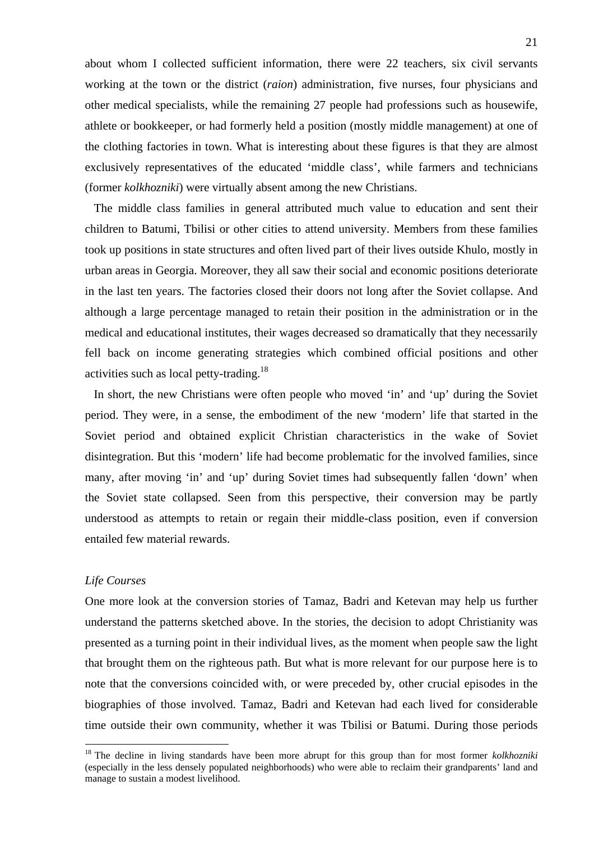about whom I collected sufficient information, there were 22 teachers, six civil servants working at the town or the district (*raion*) administration, five nurses, four physicians and other medical specialists, while the remaining 27 people had professions such as housewife, athlete or bookkeeper, or had formerly held a position (mostly middle management) at one of the clothing factories in town. What is interesting about these figures is that they are almost exclusively representatives of the educated 'middle class', while farmers and technicians (former *kolkhozniki*) were virtually absent among the new Christians.

 The middle class families in general attributed much value to education and sent their children to Batumi, Tbilisi or other cities to attend university. Members from these families took up positions in state structures and often lived part of their lives outside Khulo, mostly in urban areas in Georgia. Moreover, they all saw their social and economic positions deteriorate in the last ten years. The factories closed their doors not long after the Soviet collapse. And although a large percentage managed to retain their position in the administration or in the medical and educational institutes, their wages decreased so dramatically that they necessarily fell back on income generating strategies which combined official positions and other activities such as local petty-trading.<sup>18</sup>

 In short, the new Christians were often people who moved 'in' and 'up' during the Soviet period. They were, in a sense, the embodiment of the new 'modern' life that started in the Soviet period and obtained explicit Christian characteristics in the wake of Soviet disintegration. But this 'modern' life had become problematic for the involved families, since many, after moving 'in' and 'up' during Soviet times had subsequently fallen 'down' when the Soviet state collapsed. Seen from this perspective, their conversion may be partly understood as attempts to retain or regain their middle-class position, even if conversion entailed few material rewards.

#### *Life Courses*

 $\overline{a}$ 

One more look at the conversion stories of Tamaz, Badri and Ketevan may help us further understand the patterns sketched above. In the stories, the decision to adopt Christianity was presented as a turning point in their individual lives, as the moment when people saw the light that brought them on the righteous path. But what is more relevant for our purpose here is to note that the conversions coincided with, or were preceded by, other crucial episodes in the biographies of those involved. Tamaz, Badri and Ketevan had each lived for considerable time outside their own community, whether it was Tbilisi or Batumi. During those periods

<sup>18</sup> The decline in living standards have been more abrupt for this group than for most former *kolkhozniki* (especially in the less densely populated neighborhoods) who were able to reclaim their grandparents' land and manage to sustain a modest livelihood.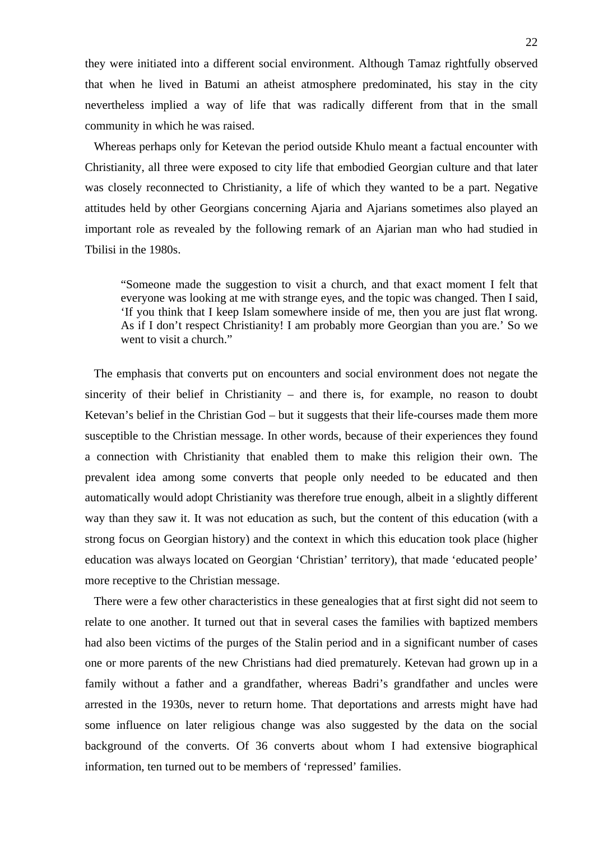they were initiated into a different social environment. Although Tamaz rightfully observed that when he lived in Batumi an atheist atmosphere predominated, his stay in the city nevertheless implied a way of life that was radically different from that in the small community in which he was raised.

 Whereas perhaps only for Ketevan the period outside Khulo meant a factual encounter with Christianity, all three were exposed to city life that embodied Georgian culture and that later was closely reconnected to Christianity, a life of which they wanted to be a part. Negative attitudes held by other Georgians concerning Ajaria and Ajarians sometimes also played an important role as revealed by the following remark of an Ajarian man who had studied in Tbilisi in the 1980s.

"Someone made the suggestion to visit a church, and that exact moment I felt that everyone was looking at me with strange eyes, and the topic was changed. Then I said, 'If you think that I keep Islam somewhere inside of me, then you are just flat wrong. As if I don't respect Christianity! I am probably more Georgian than you are.' So we went to visit a church."

 The emphasis that converts put on encounters and social environment does not negate the sincerity of their belief in Christianity – and there is, for example, no reason to doubt Ketevan's belief in the Christian God – but it suggests that their life-courses made them more susceptible to the Christian message. In other words, because of their experiences they found a connection with Christianity that enabled them to make this religion their own. The prevalent idea among some converts that people only needed to be educated and then automatically would adopt Christianity was therefore true enough, albeit in a slightly different way than they saw it. It was not education as such, but the content of this education (with a strong focus on Georgian history) and the context in which this education took place (higher education was always located on Georgian 'Christian' territory), that made 'educated people' more receptive to the Christian message.

 There were a few other characteristics in these genealogies that at first sight did not seem to relate to one another. It turned out that in several cases the families with baptized members had also been victims of the purges of the Stalin period and in a significant number of cases one or more parents of the new Christians had died prematurely. Ketevan had grown up in a family without a father and a grandfather, whereas Badri's grandfather and uncles were arrested in the 1930s, never to return home. That deportations and arrests might have had some influence on later religious change was also suggested by the data on the social background of the converts. Of 36 converts about whom I had extensive biographical information, ten turned out to be members of 'repressed' families.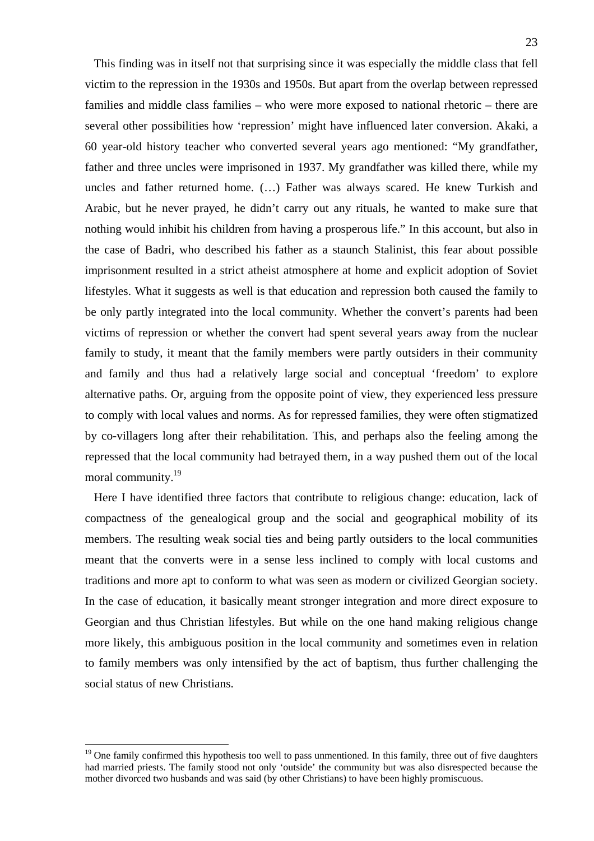This finding was in itself not that surprising since it was especially the middle class that fell victim to the repression in the 1930s and 1950s. But apart from the overlap between repressed families and middle class families – who were more exposed to national rhetoric – there are several other possibilities how 'repression' might have influenced later conversion. Akaki, a 60 year-old history teacher who converted several years ago mentioned: "My grandfather, father and three uncles were imprisoned in 1937. My grandfather was killed there, while my uncles and father returned home. (…) Father was always scared. He knew Turkish and Arabic, but he never prayed, he didn't carry out any rituals, he wanted to make sure that nothing would inhibit his children from having a prosperous life." In this account, but also in the case of Badri, who described his father as a staunch Stalinist, this fear about possible imprisonment resulted in a strict atheist atmosphere at home and explicit adoption of Soviet lifestyles. What it suggests as well is that education and repression both caused the family to be only partly integrated into the local community. Whether the convert's parents had been victims of repression or whether the convert had spent several years away from the nuclear family to study, it meant that the family members were partly outsiders in their community and family and thus had a relatively large social and conceptual 'freedom' to explore alternative paths. Or, arguing from the opposite point of view, they experienced less pressure to comply with local values and norms. As for repressed families, they were often stigmatized by co-villagers long after their rehabilitation. This, and perhaps also the feeling among the repressed that the local community had betrayed them, in a way pushed them out of the local moral community.<sup>19</sup>

 Here I have identified three factors that contribute to religious change: education, lack of compactness of the genealogical group and the social and geographical mobility of its members. The resulting weak social ties and being partly outsiders to the local communities meant that the converts were in a sense less inclined to comply with local customs and traditions and more apt to conform to what was seen as modern or civilized Georgian society. In the case of education, it basically meant stronger integration and more direct exposure to Georgian and thus Christian lifestyles. But while on the one hand making religious change more likely, this ambiguous position in the local community and sometimes even in relation to family members was only intensified by the act of baptism, thus further challenging the social status of new Christians.

 $19$  One family confirmed this hypothesis too well to pass unmentioned. In this family, three out of five daughters had married priests. The family stood not only 'outside' the community but was also disrespected because the mother divorced two husbands and was said (by other Christians) to have been highly promiscuous.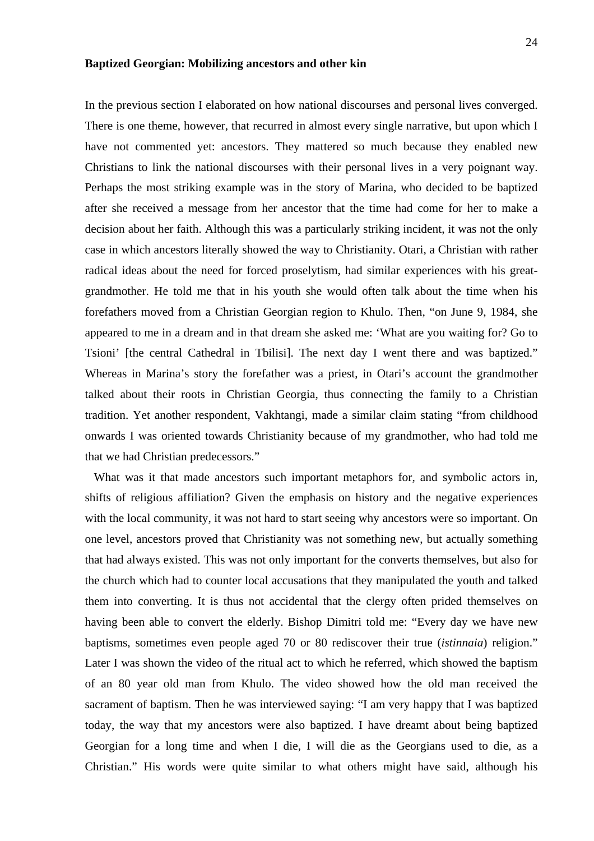#### **Baptized Georgian: Mobilizing ancestors and other kin**

In the previous section I elaborated on how national discourses and personal lives converged. There is one theme, however, that recurred in almost every single narrative, but upon which I have not commented yet: ancestors. They mattered so much because they enabled new Christians to link the national discourses with their personal lives in a very poignant way. Perhaps the most striking example was in the story of Marina, who decided to be baptized after she received a message from her ancestor that the time had come for her to make a decision about her faith. Although this was a particularly striking incident, it was not the only case in which ancestors literally showed the way to Christianity. Otari, a Christian with rather radical ideas about the need for forced proselytism, had similar experiences with his greatgrandmother. He told me that in his youth she would often talk about the time when his forefathers moved from a Christian Georgian region to Khulo. Then, "on June 9, 1984, she appeared to me in a dream and in that dream she asked me: 'What are you waiting for? Go to Tsioni' [the central Cathedral in Tbilisi]. The next day I went there and was baptized." Whereas in Marina's story the forefather was a priest, in Otari's account the grandmother talked about their roots in Christian Georgia, thus connecting the family to a Christian tradition. Yet another respondent, Vakhtangi, made a similar claim stating "from childhood onwards I was oriented towards Christianity because of my grandmother, who had told me that we had Christian predecessors."

 What was it that made ancestors such important metaphors for, and symbolic actors in, shifts of religious affiliation? Given the emphasis on history and the negative experiences with the local community, it was not hard to start seeing why ancestors were so important. On one level, ancestors proved that Christianity was not something new, but actually something that had always existed. This was not only important for the converts themselves, but also for the church which had to counter local accusations that they manipulated the youth and talked them into converting. It is thus not accidental that the clergy often prided themselves on having been able to convert the elderly. Bishop Dimitri told me: "Every day we have new baptisms, sometimes even people aged 70 or 80 rediscover their true (*istinnaia*) religion." Later I was shown the video of the ritual act to which he referred, which showed the baptism of an 80 year old man from Khulo. The video showed how the old man received the sacrament of baptism. Then he was interviewed saying: "I am very happy that I was baptized today, the way that my ancestors were also baptized. I have dreamt about being baptized Georgian for a long time and when I die, I will die as the Georgians used to die, as a Christian." His words were quite similar to what others might have said, although his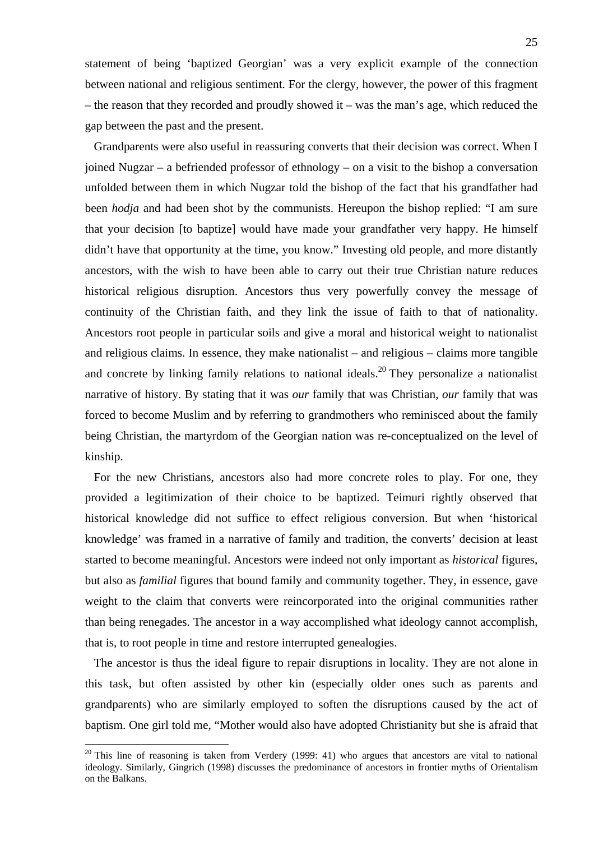statement of being 'baptized Georgian' was a very explicit example of the connection between national and religious sentiment. For the clergy, however, the power of this fragment – the reason that they recorded and proudly showed it – was the man's age, which reduced the gap between the past and the present.

 Grandparents were also useful in reassuring converts that their decision was correct. When I joined Nugzar – a befriended professor of ethnology – on a visit to the bishop a conversation unfolded between them in which Nugzar told the bishop of the fact that his grandfather had been *hodja* and had been shot by the communists. Hereupon the bishop replied: "I am sure that your decision [to baptize] would have made your grandfather very happy. He himself didn't have that opportunity at the time, you know." Investing old people, and more distantly ancestors, with the wish to have been able to carry out their true Christian nature reduces historical religious disruption. Ancestors thus very powerfully convey the message of continuity of the Christian faith, and they link the issue of faith to that of nationality. Ancestors root people in particular soils and give a moral and historical weight to nationalist and religious claims. In essence, they make nationalist – and religious – claims more tangible and concrete by linking family relations to national ideals.<sup>20</sup> They personalize a nationalist narrative of history. By stating that it was *our* family that was Christian, *our* family that was forced to become Muslim and by referring to grandmothers who reminisced about the family being Christian, the martyrdom of the Georgian nation was re-conceptualized on the level of kinship.

 For the new Christians, ancestors also had more concrete roles to play. For one, they provided a legitimization of their choice to be baptized. Teimuri rightly observed that historical knowledge did not suffice to effect religious conversion. But when 'historical knowledge' was framed in a narrative of family and tradition, the converts' decision at least started to become meaningful. Ancestors were indeed not only important as *historical* figures, but also as *familial* figures that bound family and community together. They, in essence, gave weight to the claim that converts were reincorporated into the original communities rather than being renegades. The ancestor in a way accomplished what ideology cannot accomplish, that is, to root people in time and restore interrupted genealogies.

 The ancestor is thus the ideal figure to repair disruptions in locality. They are not alone in this task, but often assisted by other kin (especially older ones such as parents and grandparents) who are similarly employed to soften the disruptions caused by the act of baptism. One girl told me, "Mother would also have adopted Christianity but she is afraid that

 $20$  This line of reasoning is taken from Verdery (1999: 41) who argues that ancestors are vital to national ideology. Similarly, Gingrich (1998) discusses the predominance of ancestors in frontier myths of Orientalism on the Balkans.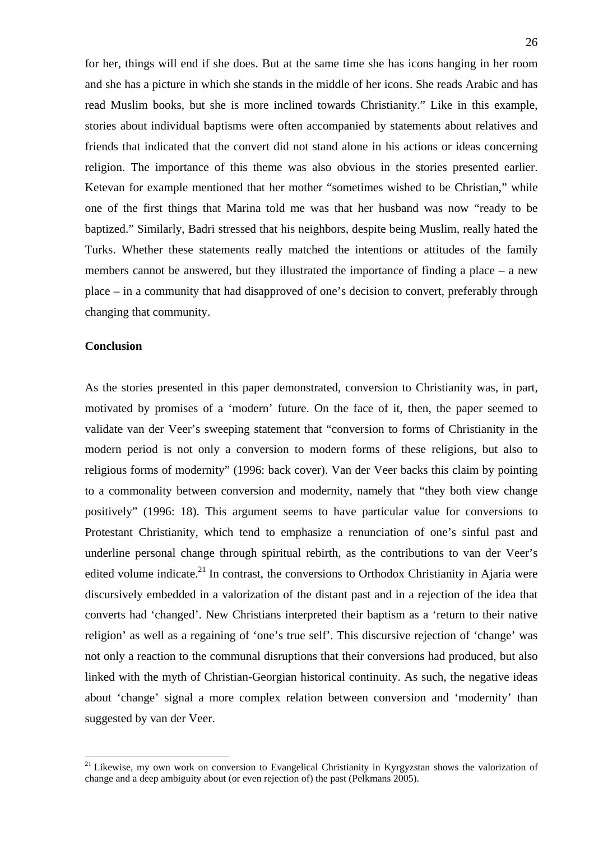for her, things will end if she does. But at the same time she has icons hanging in her room and she has a picture in which she stands in the middle of her icons. She reads Arabic and has read Muslim books, but she is more inclined towards Christianity." Like in this example, stories about individual baptisms were often accompanied by statements about relatives and friends that indicated that the convert did not stand alone in his actions or ideas concerning religion. The importance of this theme was also obvious in the stories presented earlier. Ketevan for example mentioned that her mother "sometimes wished to be Christian," while one of the first things that Marina told me was that her husband was now "ready to be baptized." Similarly, Badri stressed that his neighbors, despite being Muslim, really hated the Turks. Whether these statements really matched the intentions or attitudes of the family members cannot be answered, but they illustrated the importance of finding a place – a new place – in a community that had disapproved of one's decision to convert, preferably through changing that community.

#### **Conclusion**

 $\overline{a}$ 

As the stories presented in this paper demonstrated, conversion to Christianity was, in part, motivated by promises of a 'modern' future. On the face of it, then, the paper seemed to validate van der Veer's sweeping statement that "conversion to forms of Christianity in the modern period is not only a conversion to modern forms of these religions, but also to religious forms of modernity" (1996: back cover). Van der Veer backs this claim by pointing to a commonality between conversion and modernity, namely that "they both view change positively" (1996: 18). This argument seems to have particular value for conversions to Protestant Christianity, which tend to emphasize a renunciation of one's sinful past and underline personal change through spiritual rebirth, as the contributions to van der Veer's edited volume indicate.<sup>21</sup> In contrast, the conversions to Orthodox Christianity in Ajaria were discursively embedded in a valorization of the distant past and in a rejection of the idea that converts had 'changed'. New Christians interpreted their baptism as a 'return to their native religion' as well as a regaining of 'one's true self'. This discursive rejection of 'change' was not only a reaction to the communal disruptions that their conversions had produced, but also linked with the myth of Christian-Georgian historical continuity. As such, the negative ideas about 'change' signal a more complex relation between conversion and 'modernity' than suggested by van der Veer.

<sup>&</sup>lt;sup>21</sup> Likewise, my own work on conversion to Evangelical Christianity in Kyrgyzstan shows the valorization of change and a deep ambiguity about (or even rejection of) the past (Pelkmans 2005).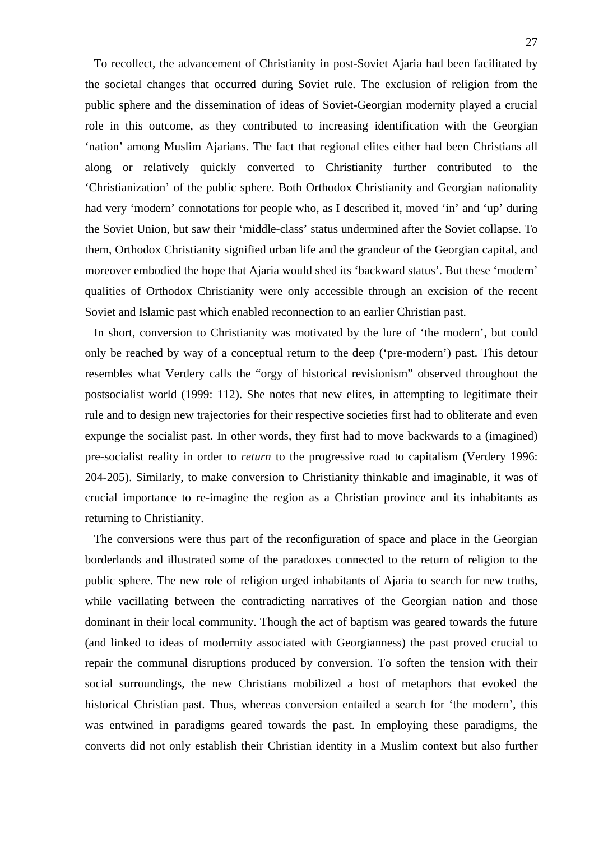To recollect, the advancement of Christianity in post-Soviet Ajaria had been facilitated by the societal changes that occurred during Soviet rule. The exclusion of religion from the public sphere and the dissemination of ideas of Soviet-Georgian modernity played a crucial role in this outcome, as they contributed to increasing identification with the Georgian 'nation' among Muslim Ajarians. The fact that regional elites either had been Christians all along or relatively quickly converted to Christianity further contributed to the 'Christianization' of the public sphere. Both Orthodox Christianity and Georgian nationality had very 'modern' connotations for people who, as I described it, moved 'in' and 'up' during the Soviet Union, but saw their 'middle-class' status undermined after the Soviet collapse. To them, Orthodox Christianity signified urban life and the grandeur of the Georgian capital, and moreover embodied the hope that Ajaria would shed its 'backward status'. But these 'modern' qualities of Orthodox Christianity were only accessible through an excision of the recent Soviet and Islamic past which enabled reconnection to an earlier Christian past.

 In short, conversion to Christianity was motivated by the lure of 'the modern', but could only be reached by way of a conceptual return to the deep ('pre-modern') past. This detour resembles what Verdery calls the "orgy of historical revisionism" observed throughout the postsocialist world (1999: 112). She notes that new elites, in attempting to legitimate their rule and to design new trajectories for their respective societies first had to obliterate and even expunge the socialist past. In other words, they first had to move backwards to a (imagined) pre-socialist reality in order to *return* to the progressive road to capitalism (Verdery 1996: 204-205). Similarly, to make conversion to Christianity thinkable and imaginable, it was of crucial importance to re-imagine the region as a Christian province and its inhabitants as returning to Christianity.

 The conversions were thus part of the reconfiguration of space and place in the Georgian borderlands and illustrated some of the paradoxes connected to the return of religion to the public sphere. The new role of religion urged inhabitants of Ajaria to search for new truths, while vacillating between the contradicting narratives of the Georgian nation and those dominant in their local community. Though the act of baptism was geared towards the future (and linked to ideas of modernity associated with Georgianness) the past proved crucial to repair the communal disruptions produced by conversion. To soften the tension with their social surroundings, the new Christians mobilized a host of metaphors that evoked the historical Christian past. Thus, whereas conversion entailed a search for 'the modern', this was entwined in paradigms geared towards the past. In employing these paradigms, the converts did not only establish their Christian identity in a Muslim context but also further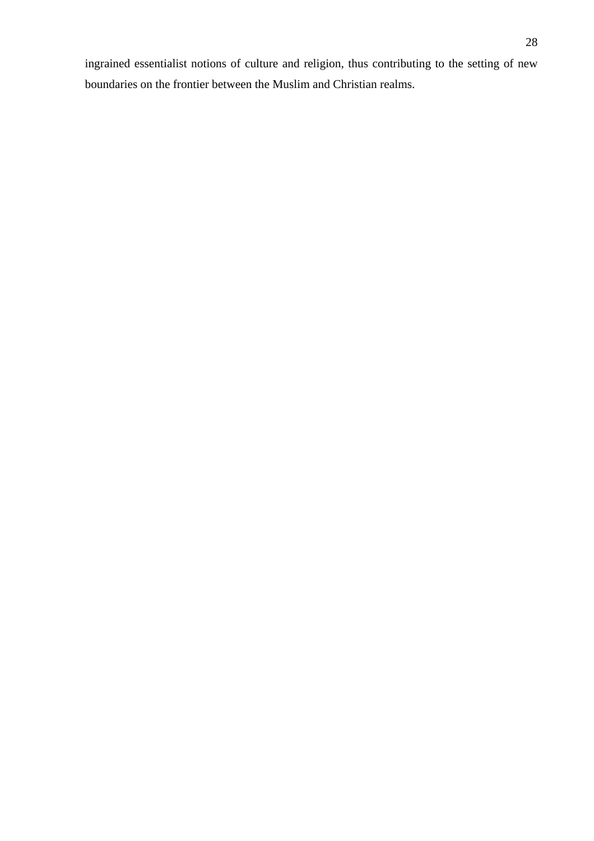ingrained essentialist notions of culture and religion, thus contributing to the setting of new boundaries on the frontier between the Muslim and Christian realms.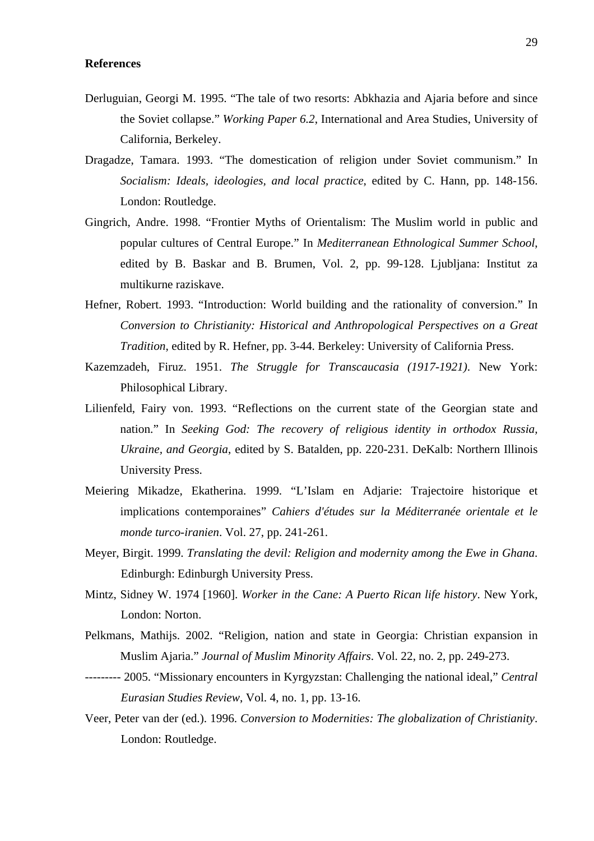#### **References**

- Derluguian, Georgi M. 1995. "The tale of two resorts: Abkhazia and Ajaria before and since the Soviet collapse." *Working Paper 6.2*, International and Area Studies, University of California, Berkeley.
- Dragadze, Tamara. 1993. "The domestication of religion under Soviet communism." In *Socialism: Ideals, ideologies, and local practice*, edited by C. Hann, pp. 148-156. London: Routledge.
- Gingrich, Andre. 1998. "Frontier Myths of Orientalism: The Muslim world in public and popular cultures of Central Europe." In *Mediterranean Ethnological Summer School*, edited by B. Baskar and B. Brumen, Vol. 2, pp. 99-128. Ljubljana: Institut za multikurne raziskave.
- Hefner, Robert. 1993. "Introduction: World building and the rationality of conversion." In *Conversion to Christianity: Historical and Anthropological Perspectives on a Great Tradition*, edited by R. Hefner, pp. 3-44. Berkeley: University of California Press.
- Kazemzadeh, Firuz. 1951. *The Struggle for Transcaucasia (1917-1921)*. New York: Philosophical Library.
- Lilienfeld, Fairy von. 1993. "Reflections on the current state of the Georgian state and nation." In *Seeking God: The recovery of religious identity in orthodox Russia, Ukraine, and Georgia*, edited by S. Batalden, pp. 220-231. DeKalb: Northern Illinois University Press.
- Meiering Mikadze, Ekatherina. 1999. "L'Islam en Adjarie: Trajectoire historique et implications contemporaines" *Cahiers d'études sur la Méditerranée orientale et le monde turco-iranien*. Vol. 27, pp. 241-261.
- Meyer, Birgit. 1999. *Translating the devil: Religion and modernity among the Ewe in Ghana*. Edinburgh: Edinburgh University Press.
- Mintz, Sidney W. 1974 [1960]. *Worker in the Cane: A Puerto Rican life history*. New York, London: Norton.
- Pelkmans, Mathijs. 2002. "Religion, nation and state in Georgia: Christian expansion in Muslim Ajaria." *Journal of Muslim Minority Affairs*. Vol. 22, no. 2, pp. 249-273.
- --------- 2005. "Missionary encounters in Kyrgyzstan: Challenging the national ideal," *Central Eurasian Studies Review*, Vol. 4, no. 1, pp. 13-16.
- Veer, Peter van der (ed.). 1996. *Conversion to Modernities: The globalization of Christianity*. London: Routledge.